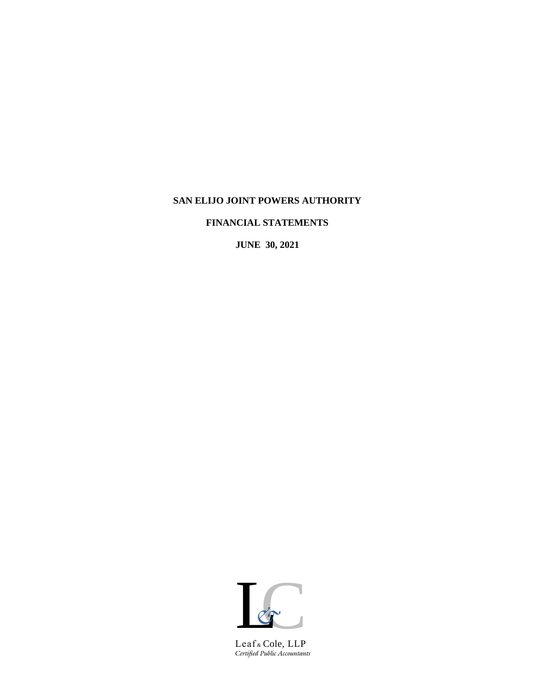# **SAN ELIJO JOINT POWERS AUTHORITY**

**FINANCIAL STATEMENTS**

**JUNE 30, 2021**



*Certified Public Accountants* Leaf *&* Cole, LLP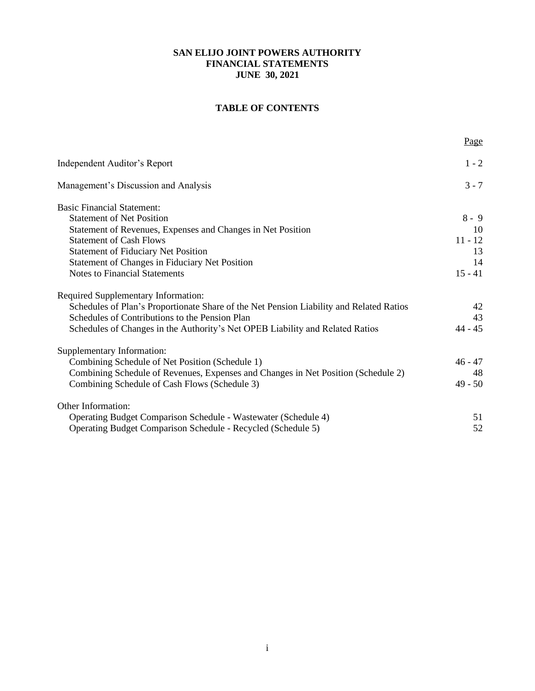# **TABLE OF CONTENTS**

|                                                                                         | Page      |
|-----------------------------------------------------------------------------------------|-----------|
| Independent Auditor's Report                                                            | $1 - 2$   |
| Management's Discussion and Analysis                                                    | $3 - 7$   |
| <b>Basic Financial Statement:</b>                                                       |           |
| <b>Statement of Net Position</b>                                                        | $8 - 9$   |
| Statement of Revenues, Expenses and Changes in Net Position                             | 10        |
| <b>Statement of Cash Flows</b>                                                          | $11 - 12$ |
| <b>Statement of Fiduciary Net Position</b>                                              | 13        |
| Statement of Changes in Fiduciary Net Position                                          | 14        |
| <b>Notes to Financial Statements</b>                                                    | $15 - 41$ |
| Required Supplementary Information:                                                     |           |
| Schedules of Plan's Proportionate Share of the Net Pension Liability and Related Ratios | 42        |
| Schedules of Contributions to the Pension Plan                                          | 43        |
| Schedules of Changes in the Authority's Net OPEB Liability and Related Ratios           | $44 - 45$ |
| Supplementary Information:                                                              |           |
| Combining Schedule of Net Position (Schedule 1)                                         | $46 - 47$ |
| Combining Schedule of Revenues, Expenses and Changes in Net Position (Schedule 2)       | 48        |
| Combining Schedule of Cash Flows (Schedule 3)                                           | $49 - 50$ |
| <b>Other Information:</b>                                                               |           |
| Operating Budget Comparison Schedule - Wastewater (Schedule 4)                          | 51        |
| Operating Budget Comparison Schedule - Recycled (Schedule 5)                            | 52        |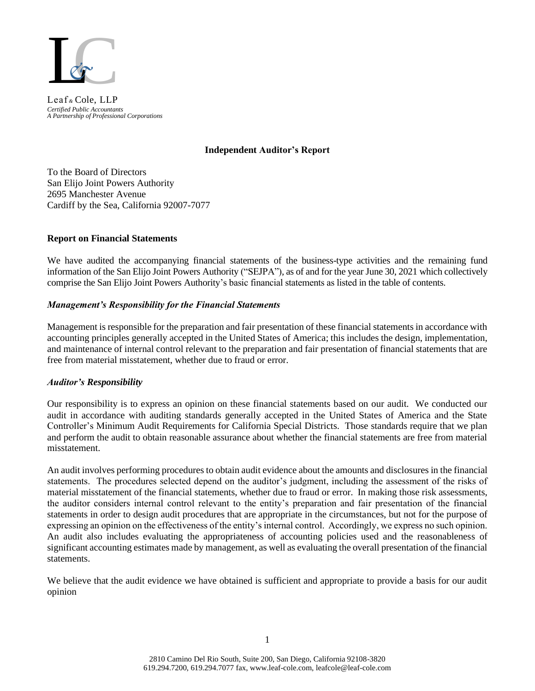

*Certified Public Accountants A Partnership of Professional Corporations* Leaf *&* Cole, LLP

### **Independent Auditor's Report**

To the Board of Directors San Elijo Joint Powers Authority 2695 Manchester Avenue Cardiff by the Sea, California 92007-7077

# **Report on Financial Statements**

We have audited the accompanying financial statements of the business-type activities and the remaining fund information of the San Elijo Joint Powers Authority ("SEJPA"), as of and for the year June 30, 2021 which collectively comprise the San Elijo Joint Powers Authority's basic financial statements as listed in the table of contents.

### *Management's Responsibility for the Financial Statements*

Management is responsible for the preparation and fair presentation of these financial statements in accordance with accounting principles generally accepted in the United States of America; this includes the design, implementation, and maintenance of internal control relevant to the preparation and fair presentation of financial statements that are free from material misstatement, whether due to fraud or error.

# *Auditor's Responsibility*

Our responsibility is to express an opinion on these financial statements based on our audit. We conducted our audit in accordance with auditing standards generally accepted in the United States of America and the State Controller's Minimum Audit Requirements for California Special Districts. Those standards require that we plan and perform the audit to obtain reasonable assurance about whether the financial statements are free from material misstatement.

An audit involves performing procedures to obtain audit evidence about the amounts and disclosures in the financial statements. The procedures selected depend on the auditor's judgment, including the assessment of the risks of material misstatement of the financial statements, whether due to fraud or error. In making those risk assessments, the auditor considers internal control relevant to the entity's preparation and fair presentation of the financial statements in order to design audit procedures that are appropriate in the circumstances, but not for the purpose of expressing an opinion on the effectiveness of the entity's internal control. Accordingly, we express no such opinion. An audit also includes evaluating the appropriateness of accounting policies used and the reasonableness of significant accounting estimates made by management, as well as evaluating the overall presentation of the financial statements.

We believe that the audit evidence we have obtained is sufficient and appropriate to provide a basis for our audit opinion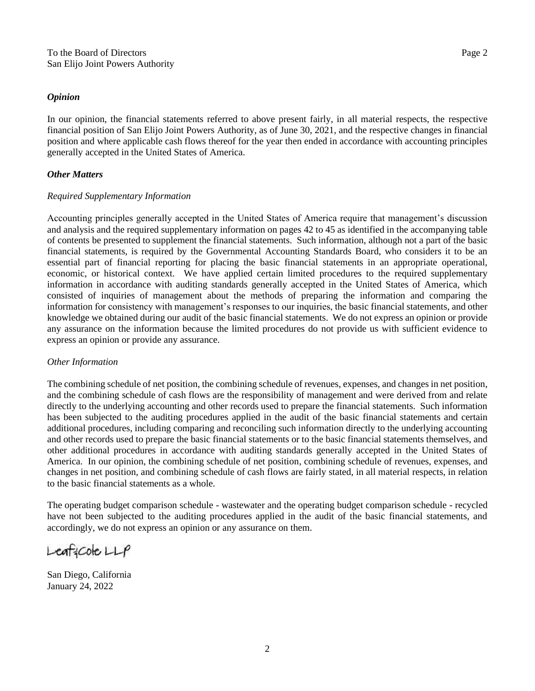#### *Opinion*

In our opinion, the financial statements referred to above present fairly, in all material respects, the respective financial position of San Elijo Joint Powers Authority, as of June 30, 2021, and the respective changes in financial position and where applicable cash flows thereof for the year then ended in accordance with accounting principles generally accepted in the United States of America.

# *Other Matters*

# *Required Supplementary Information*

Accounting principles generally accepted in the United States of America require that management's discussion and analysis and the required supplementary information on pages 42 to 45 as identified in the accompanying table of contents be presented to supplement the financial statements. Such information, although not a part of the basic financial statements, is required by the Governmental Accounting Standards Board, who considers it to be an essential part of financial reporting for placing the basic financial statements in an appropriate operational, economic, or historical context. We have applied certain limited procedures to the required supplementary information in accordance with auditing standards generally accepted in the United States of America, which consisted of inquiries of management about the methods of preparing the information and comparing the information for consistency with management's responses to our inquiries, the basic financial statements, and other knowledge we obtained during our audit of the basic financial statements. We do not express an opinion or provide any assurance on the information because the limited procedures do not provide us with sufficient evidence to express an opinion or provide any assurance.

# *Other Information*

The combining schedule of net position, the combining schedule of revenues, expenses, and changes in net position, and the combining schedule of cash flows are the responsibility of management and were derived from and relate directly to the underlying accounting and other records used to prepare the financial statements. Such information has been subjected to the auditing procedures applied in the audit of the basic financial statements and certain additional procedures, including comparing and reconciling such information directly to the underlying accounting and other records used to prepare the basic financial statements or to the basic financial statements themselves, and other additional procedures in accordance with auditing standards generally accepted in the United States of America. In our opinion, the combining schedule of net position, combining schedule of revenues, expenses, and changes in net position, and combining schedule of cash flows are fairly stated, in all material respects, in relation to the basic financial statements as a whole.

The operating budget comparison schedule - wastewater and the operating budget comparison schedule - recycled have not been subjected to the auditing procedures applied in the audit of the basic financial statements, and accordingly, we do not express an opinion or any assurance on them.

 $L$ eaf: $C$ ole $L$  $L$  $P$ 

San Diego, California January 24, 2022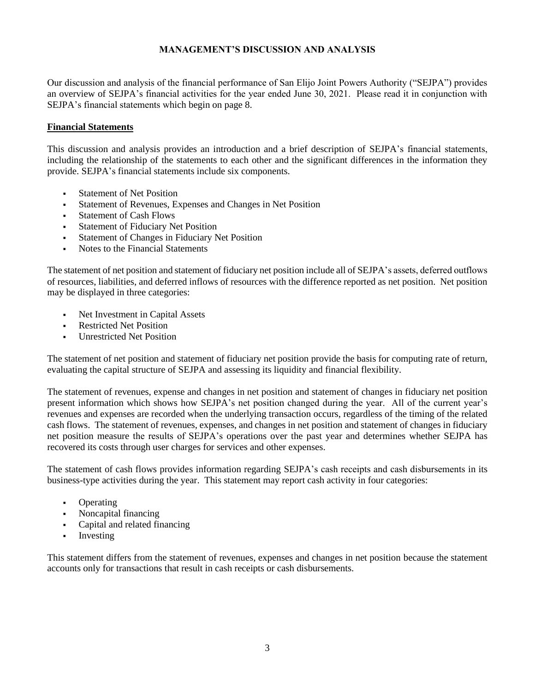# **MANAGEMENT'S DISCUSSION AND ANALYSIS**

Our discussion and analysis of the financial performance of San Elijo Joint Powers Authority ("SEJPA") provides an overview of SEJPA's financial activities for the year ended June 30, 2021. Please read it in conjunction with SEJPA's financial statements which begin on page 8.

# **Financial Statements**

This discussion and analysis provides an introduction and a brief description of SEJPA's financial statements, including the relationship of the statements to each other and the significant differences in the information they provide. SEJPA's financial statements include six components.

- **Statement of Net Position**
- Statement of Revenues, Expenses and Changes in Net Position
- **Statement of Cash Flows**
- **Statement of Fiduciary Net Position**
- **Statement of Changes in Fiduciary Net Position**
- Notes to the Financial Statements

The statement of net position and statement of fiduciary net position include all of SEJPA's assets, deferred outflows of resources, liabilities, and deferred inflows of resources with the difference reported as net position. Net position may be displayed in three categories:

- Net Investment in Capital Assets
- **Restricted Net Position**
- **Unrestricted Net Position**

The statement of net position and statement of fiduciary net position provide the basis for computing rate of return, evaluating the capital structure of SEJPA and assessing its liquidity and financial flexibility.

The statement of revenues, expense and changes in net position and statement of changes in fiduciary net position present information which shows how SEJPA's net position changed during the year. All of the current year's revenues and expenses are recorded when the underlying transaction occurs, regardless of the timing of the related cash flows. The statement of revenues, expenses, and changes in net position and statement of changes in fiduciary net position measure the results of SEJPA's operations over the past year and determines whether SEJPA has recovered its costs through user charges for services and other expenses.

The statement of cash flows provides information regarding SEJPA's cash receipts and cash disbursements in its business-type activities during the year. This statement may report cash activity in four categories:

- **Operating**
- Noncapital financing
- Capital and related financing
- **•** Investing

This statement differs from the statement of revenues, expenses and changes in net position because the statement accounts only for transactions that result in cash receipts or cash disbursements.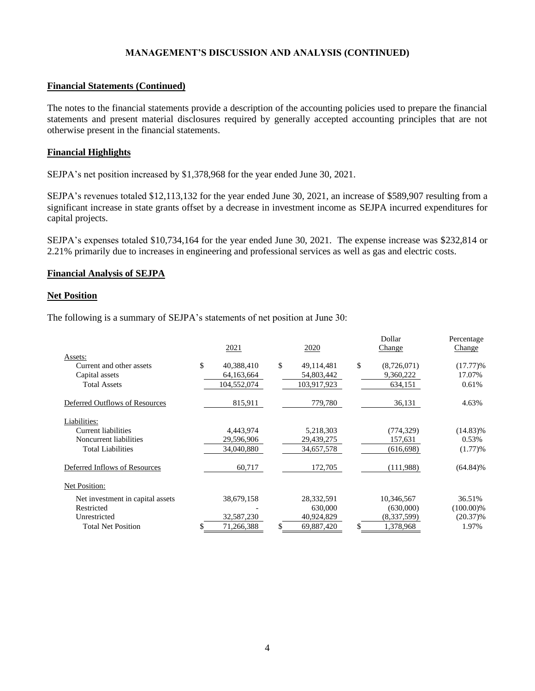# **Financial Statements (Continued)**

The notes to the financial statements provide a description of the accounting policies used to prepare the financial statements and present material disclosures required by generally accepted accounting principles that are not otherwise present in the financial statements.

### **Financial Highlights**

SEJPA's net position increased by \$1,378,968 for the year ended June 30, 2021.

SEJPA's revenues totaled \$12,113,132 for the year ended June 30, 2021, an increase of \$589,907 resulting from a significant increase in state grants offset by a decrease in investment income as SEJPA incurred expenditures for capital projects.

SEJPA's expenses totaled \$10,734,164 for the year ended June 30, 2021. The expense increase was \$232,814 or 2.21% primarily due to increases in engineering and professional services as well as gas and electric costs.

### **Financial Analysis of SEJPA**

### **Net Position**

The following is a summary of SEJPA's statements of net position at June 30:

|                                  | 2021             | 2020             | Dollar<br>Change  | Percentage<br>Change |
|----------------------------------|------------------|------------------|-------------------|----------------------|
| Assets:                          |                  |                  |                   |                      |
| Current and other assets         | \$<br>40,388,410 | \$<br>49,114,481 | \$<br>(8,726,071) | $(17.77)$ %          |
| Capital assets                   | 64,163,664       | 54,803,442       | 9,360,222         | 17.07%               |
| <b>Total Assets</b>              | 104,552,074      | 103,917,923      | 634,151           | 0.61%                |
| Deferred Outflows of Resources   | 815,911          | 779,780          | 36,131            | 4.63%                |
| Liabilities:                     |                  |                  |                   |                      |
| Current liabilities              | 4,443,974        | 5,218,303        | (774, 329)        | $(14.83)\%$          |
| Noncurrent liabilities           | 29,596,906       | 29,439,275       | 157,631           | 0.53%                |
| <b>Total Liabilities</b>         | 34,040,880       | 34,657,578       | (616, 698)        | (1.77)%              |
| Deferred Inflows of Resources    | 60,717           | 172,705          | (111,988)         | $(64.84)\%$          |
| Net Position:                    |                  |                  |                   |                      |
| Net investment in capital assets | 38,679,158       | 28,332,591       | 10,346,567        | 36.51%               |
| Restricted                       |                  | 630,000          | (630,000)         | $(100.00)\%$         |
| Unrestricted                     | 32,587,230       | 40,924,829       | (8,337,599)       | $(20.37)\%$          |
| <b>Total Net Position</b>        | \$<br>71,266,388 | \$<br>69,887,420 | \$<br>1,378,968   | 1.97%                |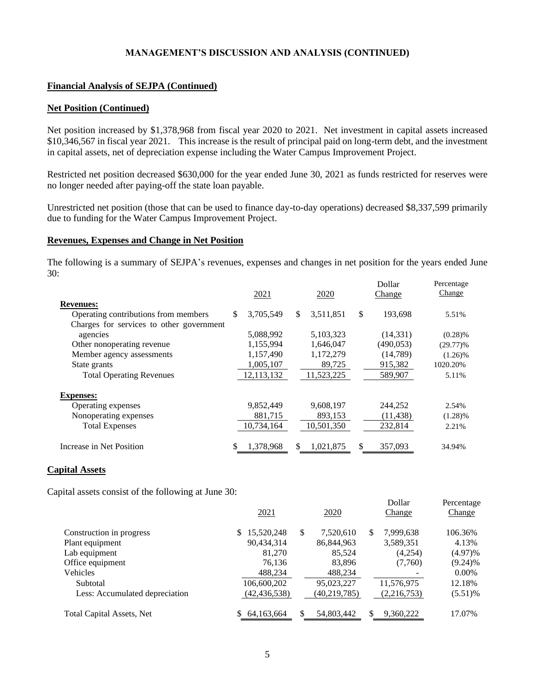# **Financial Analysis of SEJPA (Continued)**

### **Net Position (Continued)**

Net position increased by \$1,378,968 from fiscal year 2020 to 2021. Net investment in capital assets increased \$10,346,567 in fiscal year 2021. This increase is the result of principal paid on long-term debt, and the investment in capital assets, net of depreciation expense including the Water Campus Improvement Project.

Restricted net position decreased \$630,000 for the year ended June 30, 2021 as funds restricted for reserves were no longer needed after paying-off the state loan payable.

Unrestricted net position (those that can be used to finance day-to-day operations) decreased \$8,337,599 primarily due to funding for the Water Campus Improvement Project.

### **Revenues, Expenses and Change in Net Position**

The following is a summary of SEJPA's revenues, expenses and changes in net position for the years ended June 30:  $D_2H_2$ 

Percentage

|                                          | 2021            | 2020            | глонаг<br>Change | <b>Percentage</b><br>Change |
|------------------------------------------|-----------------|-----------------|------------------|-----------------------------|
| <b>Revenues:</b>                         |                 |                 |                  |                             |
| Operating contributions from members     | 3,705,549<br>\$ | 3,511,851<br>\$ | \$<br>193,698    | 5.51%                       |
| Charges for services to other government |                 |                 |                  |                             |
| agencies                                 | 5,088,992       | 5,103,323       | (14, 331)        | $(0.28)\%$                  |
| Other nonoperating revenue               | 1,155,994       | 1,646,047       | (490, 053)       | $(29.77)$ %                 |
| Member agency assessments                | 1,157,490       | 1,172,279       | (14, 789)        | $(1.26)\%$                  |
| State grants                             | 1,005,107       | 89,725          | 915,382          | 1020.20%                    |
| <b>Total Operating Revenues</b>          | 12, 113, 132    | 11,523,225      | 589,907          | 5.11%                       |
| <b>Expenses:</b>                         |                 |                 |                  |                             |
| Operating expenses                       | 9,852,449       | 9,608,197       | 244,252          | 2.54%                       |
| Nonoperating expenses                    | 881,715         | 893,153         | (11, 438)        | $(1.28)\%$                  |
| <b>Total Expenses</b>                    | 10,734,164      | 10,501,350      | 232,814          | 2.21%                       |
| Increase in Net Position                 | 1,378,968<br>\$ | \$<br>1,021,875 | \$<br>357,093    | 34.94%                      |

### **Capital Assets**

Capital assets consist of the following at June 30:

| ັ                                | 2021              | 2020             | Dollar<br>Change | Percentage<br>Change |
|----------------------------------|-------------------|------------------|------------------|----------------------|
| Construction in progress         | 15,520,248<br>\$. | 7.520.610<br>\$. | 7,999,638<br>S   | 106.36%              |
| Plant equipment                  | 90,434,314        | 86, 844, 963     | 3,589,351        | 4.13%                |
| Lab equipment                    | 81,270            | 85,524           | (4,254)          | (4.97)%              |
| Office equipment                 | 76,136            | 83,896           | (7,760)          | $(9.24)\%$           |
| Vehicles                         | 488,234           | 488,234          |                  | $0.00\%$             |
| Subtotal                         | 106,600,202       | 95,023,227       | 11,576,975       | 12.18%               |
| Less: Accumulated depreciation   | (42, 436, 538)    | (40, 219, 785)   | (2,216,753)      | $(5.51)\%$           |
| <b>Total Capital Assets, Net</b> | 64, 163, 664      | \$<br>54,803,442 | \$<br>9,360,222  | 17.07%               |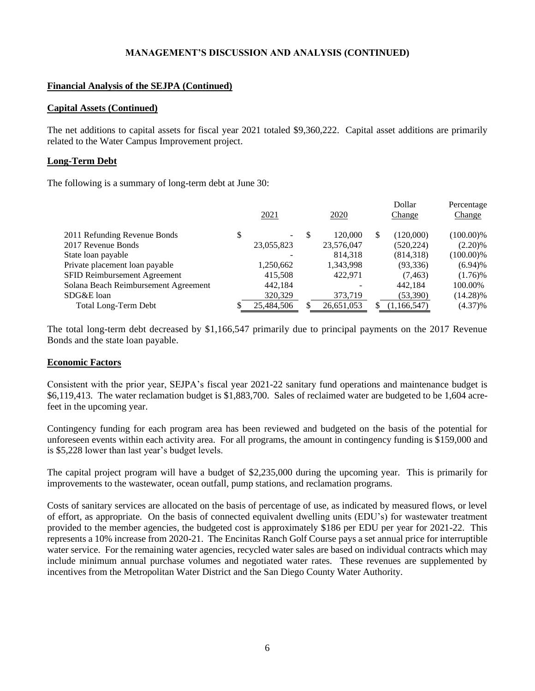# **Financial Analysis of the SEJPA (Continued)**

### **Capital Assets (Continued)**

The net additions to capital assets for fiscal year 2021 totaled \$9,360,222. Capital asset additions are primarily related to the Water Campus Improvement project.

# **Long-Term Debt**

The following is a summary of long-term debt at June 30:

|                                      | 2021       |   | <u>2020</u>              |   | Dollar<br>Change | Percentage<br>Change |
|--------------------------------------|------------|---|--------------------------|---|------------------|----------------------|
| 2011 Refunding Revenue Bonds         | \$<br>۰.   | S | 120,000                  | S | (120,000)        | $(100.00)\%$         |
| 2017 Revenue Bonds                   | 23,055,823 |   | 23,576,047               |   | (520, 224)       | $(2.20)\%$           |
| State loan payable                   |            |   | 814.318                  |   | (814, 318)       | $(100.00)\%$         |
| Private placement loan payable       | 1,250,662  |   | 1,343,998                |   | (93, 336)        | (6.94)%              |
| SFID Reimbursement Agreement         | 415,508    |   | 422.971                  |   | (7, 463)         | $(1.76)\%$           |
| Solana Beach Reimbursement Agreement | 442,184    |   | $\overline{\phantom{a}}$ |   | 442.184          | 100.00%              |
| SDG&E loan                           | 320,329    |   | 373,719                  |   | (53,390)         | $(14.28)\%$          |
| <b>Total Long-Term Debt</b>          | 25,484,506 |   | 26,651,053               |   | (1,166,547)      | $(4.37)\%$           |

The total long-term debt decreased by \$1,166,547 primarily due to principal payments on the 2017 Revenue Bonds and the state loan payable.

# **Economic Factors**

Consistent with the prior year, SEJPA's fiscal year 2021-22 sanitary fund operations and maintenance budget is \$6,119,413. The water reclamation budget is \$1,883,700. Sales of reclaimed water are budgeted to be 1,604 acrefeet in the upcoming year.

Contingency funding for each program area has been reviewed and budgeted on the basis of the potential for unforeseen events within each activity area. For all programs, the amount in contingency funding is \$159,000 and is \$5,228 lower than last year's budget levels.

The capital project program will have a budget of \$2,235,000 during the upcoming year. This is primarily for improvements to the wastewater, ocean outfall, pump stations, and reclamation programs.

Costs of sanitary services are allocated on the basis of percentage of use, as indicated by measured flows, or level of effort, as appropriate. On the basis of connected equivalent dwelling units (EDU's) for wastewater treatment provided to the member agencies, the budgeted cost is approximately \$186 per EDU per year for 2021-22. This represents a 10% increase from 2020-21. The Encinitas Ranch Golf Course pays a set annual price for interruptible water service. For the remaining water agencies, recycled water sales are based on individual contracts which may include minimum annual purchase volumes and negotiated water rates. These revenues are supplemented by incentives from the Metropolitan Water District and the San Diego County Water Authority.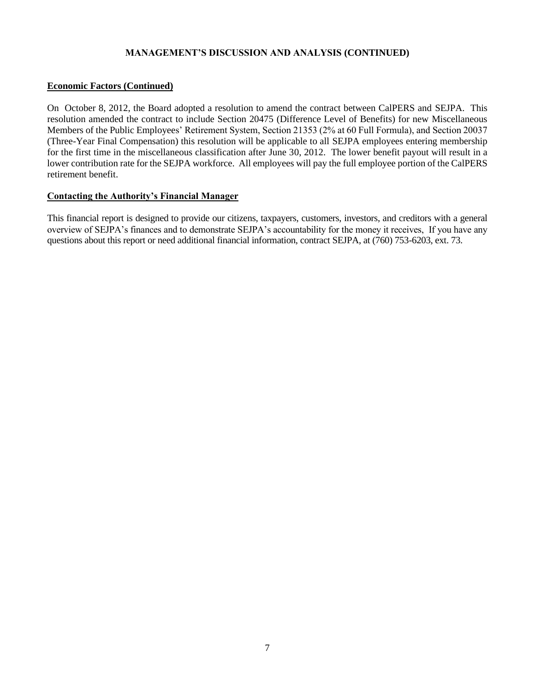# **Economic Factors (Continued)**

On October 8, 2012, the Board adopted a resolution to amend the contract between CalPERS and SEJPA. This resolution amended the contract to include Section 20475 (Difference Level of Benefits) for new Miscellaneous Members of the Public Employees' Retirement System, Section 21353 (2% at 60 Full Formula), and Section 20037 (Three-Year Final Compensation) this resolution will be applicable to all SEJPA employees entering membership for the first time in the miscellaneous classification after June 30, 2012. The lower benefit payout will result in a lower contribution rate for the SEJPA workforce. All employees will pay the full employee portion of the CalPERS retirement benefit.

# **Contacting the Authority's Financial Manager**

This financial report is designed to provide our citizens, taxpayers, customers, investors, and creditors with a general overview of SEJPA's finances and to demonstrate SEJPA's accountability for the money it receives, If you have any questions about this report or need additional financial information, contract SEJPA, at (760) 753-6203, ext. 73.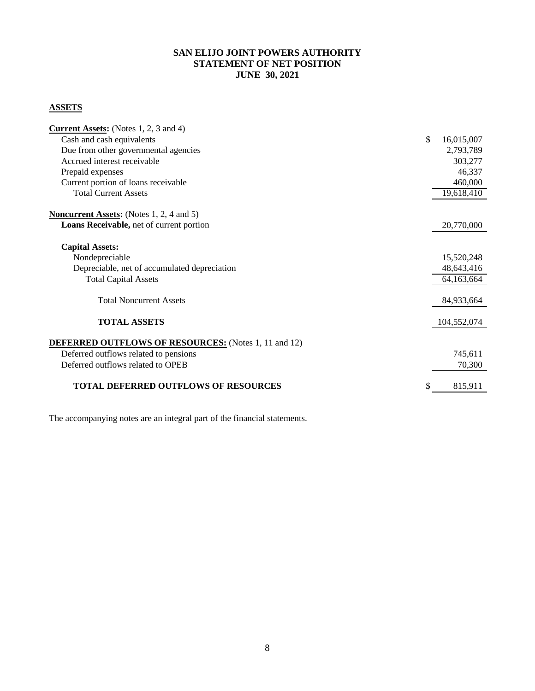# **SAN ELIJO JOINT POWERS AUTHORITY STATEMENT OF NET POSITION JUNE 30, 2021**

# **ASSETS**

| <b>Current Assets:</b> (Notes 1, 2, 3 and 4)                |                  |
|-------------------------------------------------------------|------------------|
| Cash and cash equivalents                                   | \$<br>16,015,007 |
| Due from other governmental agencies                        | 2,793,789        |
| Accrued interest receivable                                 | 303,277          |
| Prepaid expenses                                            | 46,337           |
| Current portion of loans receivable                         | 460,000          |
| <b>Total Current Assets</b>                                 | 19,618,410       |
| <b>Noncurrent Assets:</b> (Notes 1, 2, 4 and 5)             |                  |
| Loans Receivable, net of current portion                    | 20,770,000       |
| <b>Capital Assets:</b>                                      |                  |
| Nondepreciable                                              | 15,520,248       |
| Depreciable, net of accumulated depreciation                | 48,643,416       |
| <b>Total Capital Assets</b>                                 | 64,163,664       |
| <b>Total Noncurrent Assets</b>                              | 84,933,664       |
| <b>TOTAL ASSETS</b>                                         | 104,552,074      |
| <b>DEFERRED OUTFLOWS OF RESOURCES:</b> (Notes 1, 11 and 12) |                  |
| Deferred outflows related to pensions                       | 745,611          |
| Deferred outflows related to OPEB                           | 70,300           |
| <b>TOTAL DEFERRED OUTFLOWS OF RESOURCES</b>                 | \$<br>815,911    |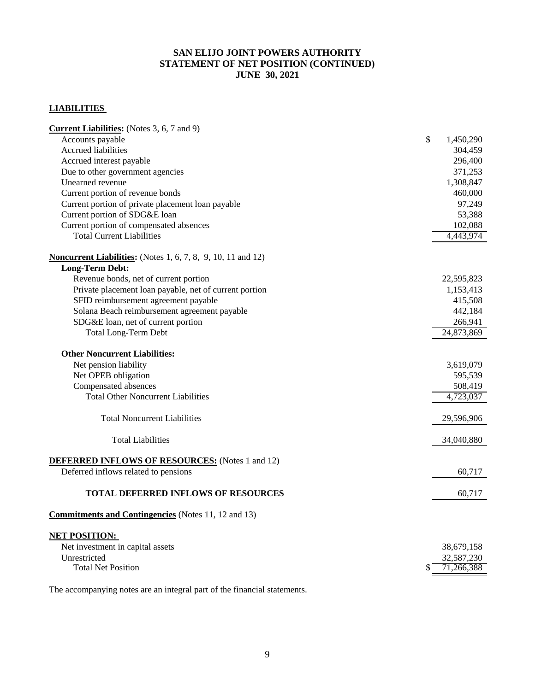# **SAN ELIJO JOINT POWERS AUTHORITY STATEMENT OF NET POSITION (CONTINUED) JUNE 30, 2021**

# **LIABILITIES**

| Accounts payable<br>\$<br>1,450,290<br><b>Accrued liabilities</b><br>304,459<br>Accrued interest payable<br>296,400<br>Due to other government agencies<br>371,253<br>Unearned revenue<br>1,308,847<br>Current portion of revenue bonds<br>460,000<br>Current portion of private placement loan payable<br>97,249<br>Current portion of SDG&E loan<br>53,388<br>Current portion of compensated absences<br>102,088<br><b>Total Current Liabilities</b><br>4,443,974<br><b>Long-Term Debt:</b><br>Revenue bonds, net of current portion<br>22,595,823<br>Private placement loan payable, net of current portion<br>1,153,413<br>SFID reimbursement agreement payable<br>415,508<br>Solana Beach reimbursement agreement payable<br>442,184<br>SDG&E loan, net of current portion<br>266,941<br><b>Total Long-Term Debt</b><br>24,873,869<br><b>Other Noncurrent Liabilities:</b><br>Net pension liability<br>3,619,079<br>Net OPEB obligation<br>595,539<br>Compensated absences<br>508,419<br><b>Total Other Noncurrent Liabilities</b><br>4,723,037<br><b>Total Noncurrent Liabilities</b><br>29,596,906<br><b>Total Liabilities</b><br>34,040,880<br>Deferred inflows related to pensions<br>60,717<br><b>TOTAL DEFERRED INFLOWS OF RESOURCES</b><br>60,717 | <b>Current Liabilities:</b> (Notes 3, 6, 7 and 9)                   |  |
|---------------------------------------------------------------------------------------------------------------------------------------------------------------------------------------------------------------------------------------------------------------------------------------------------------------------------------------------------------------------------------------------------------------------------------------------------------------------------------------------------------------------------------------------------------------------------------------------------------------------------------------------------------------------------------------------------------------------------------------------------------------------------------------------------------------------------------------------------------------------------------------------------------------------------------------------------------------------------------------------------------------------------------------------------------------------------------------------------------------------------------------------------------------------------------------------------------------------------------------------------------------|---------------------------------------------------------------------|--|
|                                                                                                                                                                                                                                                                                                                                                                                                                                                                                                                                                                                                                                                                                                                                                                                                                                                                                                                                                                                                                                                                                                                                                                                                                                                               |                                                                     |  |
|                                                                                                                                                                                                                                                                                                                                                                                                                                                                                                                                                                                                                                                                                                                                                                                                                                                                                                                                                                                                                                                                                                                                                                                                                                                               |                                                                     |  |
|                                                                                                                                                                                                                                                                                                                                                                                                                                                                                                                                                                                                                                                                                                                                                                                                                                                                                                                                                                                                                                                                                                                                                                                                                                                               |                                                                     |  |
|                                                                                                                                                                                                                                                                                                                                                                                                                                                                                                                                                                                                                                                                                                                                                                                                                                                                                                                                                                                                                                                                                                                                                                                                                                                               |                                                                     |  |
|                                                                                                                                                                                                                                                                                                                                                                                                                                                                                                                                                                                                                                                                                                                                                                                                                                                                                                                                                                                                                                                                                                                                                                                                                                                               |                                                                     |  |
|                                                                                                                                                                                                                                                                                                                                                                                                                                                                                                                                                                                                                                                                                                                                                                                                                                                                                                                                                                                                                                                                                                                                                                                                                                                               |                                                                     |  |
|                                                                                                                                                                                                                                                                                                                                                                                                                                                                                                                                                                                                                                                                                                                                                                                                                                                                                                                                                                                                                                                                                                                                                                                                                                                               |                                                                     |  |
|                                                                                                                                                                                                                                                                                                                                                                                                                                                                                                                                                                                                                                                                                                                                                                                                                                                                                                                                                                                                                                                                                                                                                                                                                                                               |                                                                     |  |
|                                                                                                                                                                                                                                                                                                                                                                                                                                                                                                                                                                                                                                                                                                                                                                                                                                                                                                                                                                                                                                                                                                                                                                                                                                                               |                                                                     |  |
|                                                                                                                                                                                                                                                                                                                                                                                                                                                                                                                                                                                                                                                                                                                                                                                                                                                                                                                                                                                                                                                                                                                                                                                                                                                               |                                                                     |  |
|                                                                                                                                                                                                                                                                                                                                                                                                                                                                                                                                                                                                                                                                                                                                                                                                                                                                                                                                                                                                                                                                                                                                                                                                                                                               |                                                                     |  |
|                                                                                                                                                                                                                                                                                                                                                                                                                                                                                                                                                                                                                                                                                                                                                                                                                                                                                                                                                                                                                                                                                                                                                                                                                                                               | <b>Noncurrent Liabilities:</b> (Notes 1, 6, 7, 8, 9, 10, 11 and 12) |  |
|                                                                                                                                                                                                                                                                                                                                                                                                                                                                                                                                                                                                                                                                                                                                                                                                                                                                                                                                                                                                                                                                                                                                                                                                                                                               |                                                                     |  |
|                                                                                                                                                                                                                                                                                                                                                                                                                                                                                                                                                                                                                                                                                                                                                                                                                                                                                                                                                                                                                                                                                                                                                                                                                                                               |                                                                     |  |
|                                                                                                                                                                                                                                                                                                                                                                                                                                                                                                                                                                                                                                                                                                                                                                                                                                                                                                                                                                                                                                                                                                                                                                                                                                                               |                                                                     |  |
|                                                                                                                                                                                                                                                                                                                                                                                                                                                                                                                                                                                                                                                                                                                                                                                                                                                                                                                                                                                                                                                                                                                                                                                                                                                               |                                                                     |  |
|                                                                                                                                                                                                                                                                                                                                                                                                                                                                                                                                                                                                                                                                                                                                                                                                                                                                                                                                                                                                                                                                                                                                                                                                                                                               |                                                                     |  |
|                                                                                                                                                                                                                                                                                                                                                                                                                                                                                                                                                                                                                                                                                                                                                                                                                                                                                                                                                                                                                                                                                                                                                                                                                                                               |                                                                     |  |
|                                                                                                                                                                                                                                                                                                                                                                                                                                                                                                                                                                                                                                                                                                                                                                                                                                                                                                                                                                                                                                                                                                                                                                                                                                                               |                                                                     |  |
|                                                                                                                                                                                                                                                                                                                                                                                                                                                                                                                                                                                                                                                                                                                                                                                                                                                                                                                                                                                                                                                                                                                                                                                                                                                               |                                                                     |  |
|                                                                                                                                                                                                                                                                                                                                                                                                                                                                                                                                                                                                                                                                                                                                                                                                                                                                                                                                                                                                                                                                                                                                                                                                                                                               |                                                                     |  |
|                                                                                                                                                                                                                                                                                                                                                                                                                                                                                                                                                                                                                                                                                                                                                                                                                                                                                                                                                                                                                                                                                                                                                                                                                                                               |                                                                     |  |
|                                                                                                                                                                                                                                                                                                                                                                                                                                                                                                                                                                                                                                                                                                                                                                                                                                                                                                                                                                                                                                                                                                                                                                                                                                                               |                                                                     |  |
|                                                                                                                                                                                                                                                                                                                                                                                                                                                                                                                                                                                                                                                                                                                                                                                                                                                                                                                                                                                                                                                                                                                                                                                                                                                               |                                                                     |  |
|                                                                                                                                                                                                                                                                                                                                                                                                                                                                                                                                                                                                                                                                                                                                                                                                                                                                                                                                                                                                                                                                                                                                                                                                                                                               |                                                                     |  |
|                                                                                                                                                                                                                                                                                                                                                                                                                                                                                                                                                                                                                                                                                                                                                                                                                                                                                                                                                                                                                                                                                                                                                                                                                                                               |                                                                     |  |
|                                                                                                                                                                                                                                                                                                                                                                                                                                                                                                                                                                                                                                                                                                                                                                                                                                                                                                                                                                                                                                                                                                                                                                                                                                                               |                                                                     |  |
|                                                                                                                                                                                                                                                                                                                                                                                                                                                                                                                                                                                                                                                                                                                                                                                                                                                                                                                                                                                                                                                                                                                                                                                                                                                               |                                                                     |  |
|                                                                                                                                                                                                                                                                                                                                                                                                                                                                                                                                                                                                                                                                                                                                                                                                                                                                                                                                                                                                                                                                                                                                                                                                                                                               |                                                                     |  |
|                                                                                                                                                                                                                                                                                                                                                                                                                                                                                                                                                                                                                                                                                                                                                                                                                                                                                                                                                                                                                                                                                                                                                                                                                                                               |                                                                     |  |
|                                                                                                                                                                                                                                                                                                                                                                                                                                                                                                                                                                                                                                                                                                                                                                                                                                                                                                                                                                                                                                                                                                                                                                                                                                                               | <b>DEFERRED INFLOWS OF RESOURCES:</b> (Notes 1 and 12)              |  |
|                                                                                                                                                                                                                                                                                                                                                                                                                                                                                                                                                                                                                                                                                                                                                                                                                                                                                                                                                                                                                                                                                                                                                                                                                                                               |                                                                     |  |
|                                                                                                                                                                                                                                                                                                                                                                                                                                                                                                                                                                                                                                                                                                                                                                                                                                                                                                                                                                                                                                                                                                                                                                                                                                                               |                                                                     |  |
|                                                                                                                                                                                                                                                                                                                                                                                                                                                                                                                                                                                                                                                                                                                                                                                                                                                                                                                                                                                                                                                                                                                                                                                                                                                               |                                                                     |  |
|                                                                                                                                                                                                                                                                                                                                                                                                                                                                                                                                                                                                                                                                                                                                                                                                                                                                                                                                                                                                                                                                                                                                                                                                                                                               | <b>Commitments and Contingencies</b> (Notes 11, 12 and 13)          |  |
|                                                                                                                                                                                                                                                                                                                                                                                                                                                                                                                                                                                                                                                                                                                                                                                                                                                                                                                                                                                                                                                                                                                                                                                                                                                               |                                                                     |  |
|                                                                                                                                                                                                                                                                                                                                                                                                                                                                                                                                                                                                                                                                                                                                                                                                                                                                                                                                                                                                                                                                                                                                                                                                                                                               | <b>NET POSITION:</b>                                                |  |
| Net investment in capital assets<br>38,679,158                                                                                                                                                                                                                                                                                                                                                                                                                                                                                                                                                                                                                                                                                                                                                                                                                                                                                                                                                                                                                                                                                                                                                                                                                |                                                                     |  |
| Unrestricted<br>32,587,230                                                                                                                                                                                                                                                                                                                                                                                                                                                                                                                                                                                                                                                                                                                                                                                                                                                                                                                                                                                                                                                                                                                                                                                                                                    |                                                                     |  |
| <b>Total Net Position</b><br>71,266,388                                                                                                                                                                                                                                                                                                                                                                                                                                                                                                                                                                                                                                                                                                                                                                                                                                                                                                                                                                                                                                                                                                                                                                                                                       |                                                                     |  |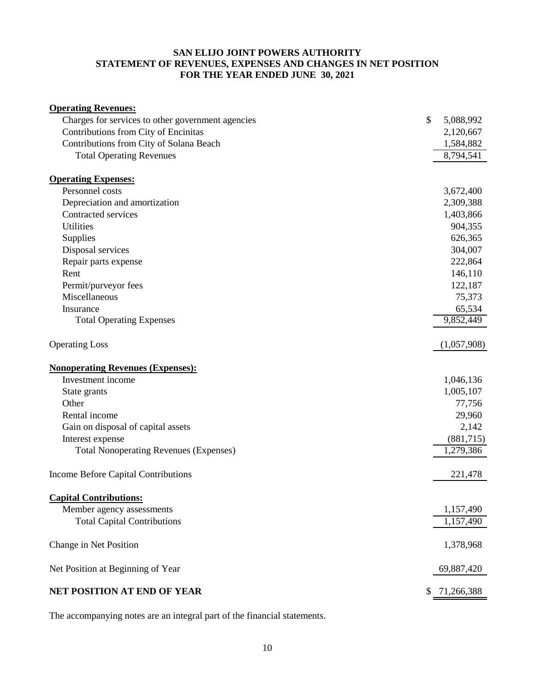# **SAN ELIJO JOINT POWERS AUTHORITY STATEMENT OF REVENUES, EXPENSES AND CHANGES IN NET POSITION FOR THE YEAR ENDED JUNE 30, 2021**

| <b>Operating Revenues:</b>                        |                  |
|---------------------------------------------------|------------------|
| Charges for services to other government agencies | \$<br>5,088,992  |
| Contributions from City of Encinitas              | 2,120,667        |
| Contributions from City of Solana Beach           | 1,584,882        |
| <b>Total Operating Revenues</b>                   | 8,794,541        |
|                                                   |                  |
| <b>Operating Expenses:</b>                        |                  |
| Personnel costs                                   | 3,672,400        |
| Depreciation and amortization                     | 2,309,388        |
| Contracted services                               | 1,403,866        |
| Utilities                                         | 904,355          |
| Supplies                                          | 626,365          |
| Disposal services                                 | 304,007          |
| Repair parts expense                              | 222,864          |
| Rent                                              | 146,110          |
| Permit/purveyor fees                              | 122,187          |
| Miscellaneous                                     | 75,373           |
| Insurance                                         | 65,534           |
| <b>Total Operating Expenses</b>                   | 9,852,449        |
| <b>Operating Loss</b>                             | (1,057,908)      |
| <b>Nonoperating Revenues (Expenses):</b>          |                  |
| Investment income                                 | 1,046,136        |
| State grants                                      | 1,005,107        |
| Other                                             | 77,756           |
| Rental income                                     | 29,960           |
| Gain on disposal of capital assets                | 2,142            |
| Interest expense                                  | (881,715)        |
| <b>Total Nonoperating Revenues (Expenses)</b>     | 1,279,386        |
| Income Before Capital Contributions               | 221,478          |
| <b>Capital Contributions:</b>                     |                  |
| Member agency assessments                         | 1,157,490        |
| <b>Total Capital Contributions</b>                | 1,157,490        |
|                                                   |                  |
| Change in Net Position                            | 1,378,968        |
| Net Position at Beginning of Year                 | 69,887,420       |
| NET POSITION AT END OF YEAR                       | \$<br>71,266,388 |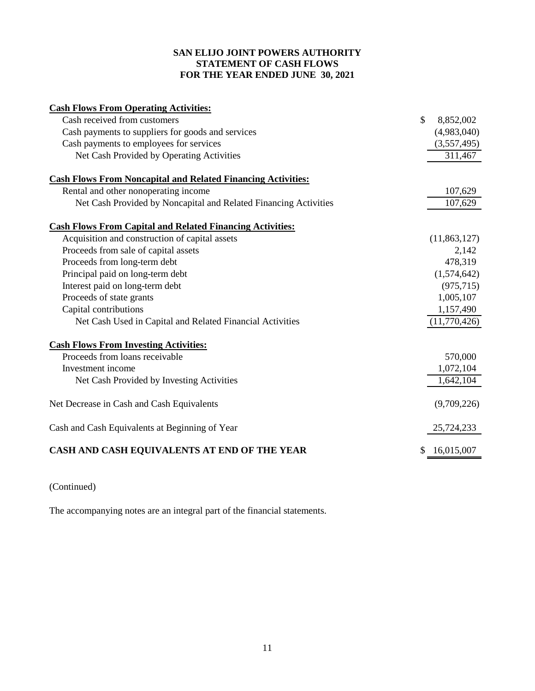# **SAN ELIJO JOINT POWERS AUTHORITY STATEMENT OF CASH FLOWS FOR THE YEAR ENDED JUNE 30, 2021**

| <b>Cash Flows From Operating Activities:</b>                        |               |              |
|---------------------------------------------------------------------|---------------|--------------|
| Cash received from customers                                        | $\mathcal{S}$ | 8,852,002    |
| Cash payments to suppliers for goods and services                   |               | (4,983,040)  |
| Cash payments to employees for services                             |               | (3,557,495)  |
| Net Cash Provided by Operating Activities                           |               | 311,467      |
| <b>Cash Flows From Noncapital and Related Financing Activities:</b> |               |              |
| Rental and other nonoperating income                                |               | 107,629      |
| Net Cash Provided by Noncapital and Related Financing Activities    |               | 107,629      |
| <b>Cash Flows From Capital and Related Financing Activities:</b>    |               |              |
| Acquisition and construction of capital assets                      |               | (11,863,127) |
| Proceeds from sale of capital assets                                |               | 2,142        |
| Proceeds from long-term debt                                        |               | 478,319      |
| Principal paid on long-term debt                                    |               | (1,574,642)  |
| Interest paid on long-term debt                                     |               | (975, 715)   |
| Proceeds of state grants                                            |               | 1,005,107    |
| Capital contributions                                               |               | 1,157,490    |
| Net Cash Used in Capital and Related Financial Activities           |               | (11,770,426) |
| <b>Cash Flows From Investing Activities:</b>                        |               |              |
| Proceeds from loans receivable                                      |               | 570,000      |
| Investment income                                                   |               | 1,072,104    |
| Net Cash Provided by Investing Activities                           |               | 1,642,104    |
| Net Decrease in Cash and Cash Equivalents                           |               | (9,709,226)  |
| Cash and Cash Equivalents at Beginning of Year                      |               | 25,724,233   |
| CASH AND CASH EQUIVALENTS AT END OF THE YEAR                        |               | 16,015,007   |

(Continued)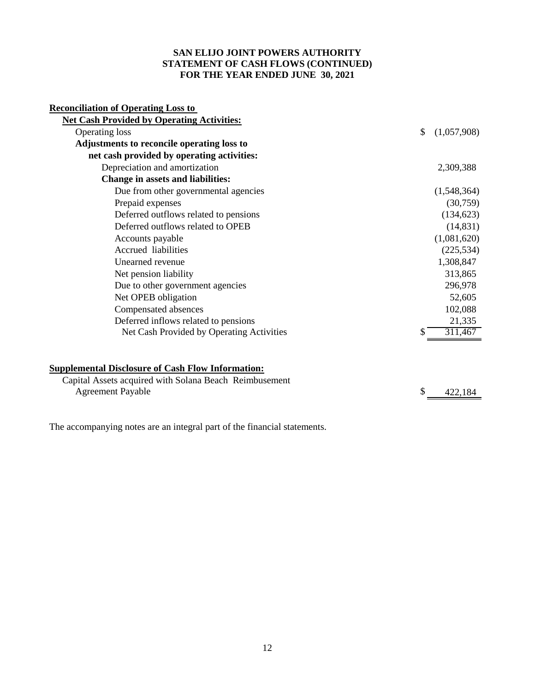# **SAN ELIJO JOINT POWERS AUTHORITY STATEMENT OF CASH FLOWS (CONTINUED) FOR THE YEAR ENDED JUNE 30, 2021**

# **Reconciliation of Operating Loss to**

| <b>Net Cash Provided by Operating Activities:</b> |                   |
|---------------------------------------------------|-------------------|
| <b>Operating loss</b>                             | \$<br>(1,057,908) |
| Adjustments to reconcile operating loss to        |                   |
| net cash provided by operating activities:        |                   |
| Depreciation and amortization                     | 2,309,388         |
| Change in assets and liabilities:                 |                   |
| Due from other governmental agencies              | (1,548,364)       |
| Prepaid expenses                                  | (30,759)          |
| Deferred outflows related to pensions             | (134, 623)        |
| Deferred outflows related to OPEB                 | (14, 831)         |
| Accounts payable                                  | (1,081,620)       |
| Accrued liabilities                               | (225, 534)        |
| Unearned revenue                                  | 1,308,847         |
| Net pension liability                             | 313,865           |
| Due to other government agencies                  | 296,978           |
| Net OPEB obligation                               | 52,605            |
| Compensated absences                              | 102,088           |
| Deferred inflows related to pensions              | 21,335            |
| Net Cash Provided by Operating Activities         | 311,467           |
|                                                   |                   |

# **Supplemental Disclosure of Cash Flow Information:**

| Capital Assets acquired with Solana Beach Reimbusement |         |
|--------------------------------------------------------|---------|
| <b>Agreement Payable</b>                               | 422.184 |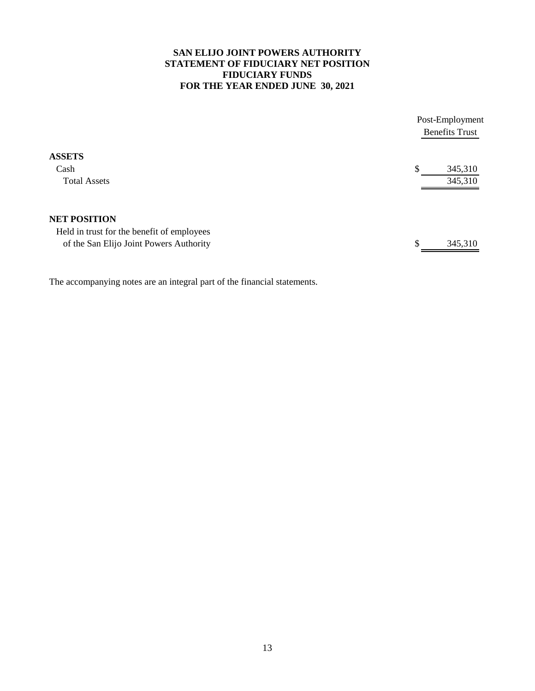# **SAN ELIJO JOINT POWERS AUTHORITY STATEMENT OF FIDUCIARY NET POSITION FIDUCIARY FUNDS FOR THE YEAR ENDED JUNE 30, 2021**

|                                                                                       |    | Post-Employment<br><b>Benefits Trust</b> |
|---------------------------------------------------------------------------------------|----|------------------------------------------|
| <b>ASSETS</b><br>Cash                                                                 | S  | 345,310                                  |
| <b>Total Assets</b>                                                                   |    | 345,310                                  |
| <b>NET POSITION</b>                                                                   |    |                                          |
| Held in trust for the benefit of employees<br>of the San Elijo Joint Powers Authority | \$ | 345,310                                  |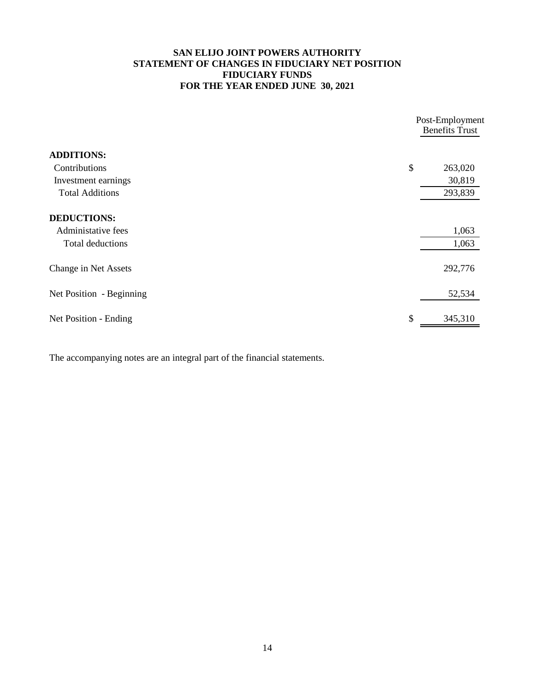# **SAN ELIJO JOINT POWERS AUTHORITY STATEMENT OF CHANGES IN FIDUCIARY NET POSITION FIDUCIARY FUNDS FOR THE YEAR ENDED JUNE 30, 2021**

|                          | Post-Employment<br><b>Benefits Trust</b> |         |
|--------------------------|------------------------------------------|---------|
| <b>ADDITIONS:</b>        |                                          |         |
| Contributions            | \$                                       | 263,020 |
| Investment earnings      |                                          | 30,819  |
| <b>Total Additions</b>   |                                          | 293,839 |
| <b>DEDUCTIONS:</b>       |                                          |         |
| Administative fees       |                                          | 1,063   |
| Total deductions         |                                          | 1,063   |
| Change in Net Assets     |                                          | 292,776 |
| Net Position - Beginning |                                          | 52,534  |
| Net Position - Ending    | \$                                       | 345,310 |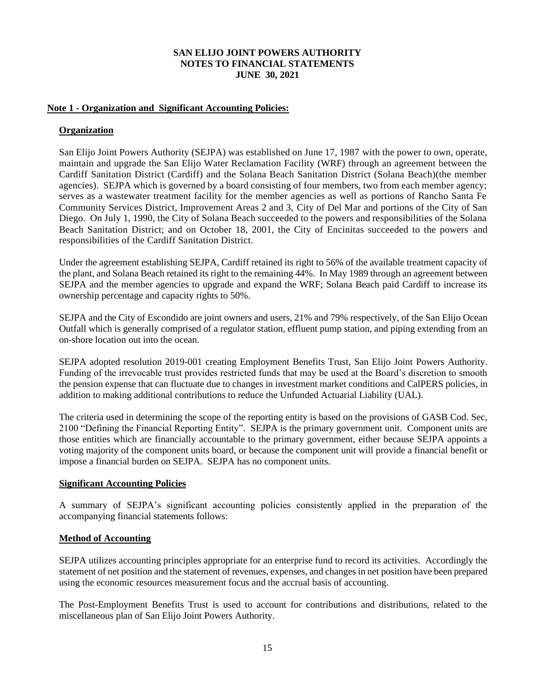# **Note 1 - Organization and Significant Accounting Policies:**

### **Organization**

San Elijo Joint Powers Authority (SEJPA) was established on June 17, 1987 with the power to own, operate, maintain and upgrade the San Elijo Water Reclamation Facility (WRF) through an agreement between the Cardiff Sanitation District (Cardiff) and the Solana Beach Sanitation District (Solana Beach)(the member agencies). SEJPA which is governed by a board consisting of four members, two from each member agency; serves as a wastewater treatment facility for the member agencies as well as portions of Rancho Santa Fe Community Services District, Improvement Areas 2 and 3, City of Del Mar and portions of the City of San Diego. On July 1, 1990, the City of Solana Beach succeeded to the powers and responsibilities of the Solana Beach Sanitation District; and on October 18, 2001, the City of Encinitas succeeded to the powers and responsibilities of the Cardiff Sanitation District.

Under the agreement establishing SEJPA, Cardiff retained its right to 56% of the available treatment capacity of the plant, and Solana Beach retained its right to the remaining 44%. In May 1989 through an agreement between SEJPA and the member agencies to upgrade and expand the WRF; Solana Beach paid Cardiff to increase its ownership percentage and capacity rights to 50%.

SEJPA and the City of Escondido are joint owners and users, 21% and 79% respectively, of the San Elijo Ocean Outfall which is generally comprised of a regulator station, effluent pump station, and piping extending from an on-shore location out into the ocean.

SEJPA adopted resolution 2019-001 creating Employment Benefits Trust, San Elijo Joint Powers Authority. Funding of the irrevocable trust provides restricted funds that may be used at the Board's discretion to smooth the pension expense that can fluctuate due to changes in investment market conditions and CalPERS policies, in addition to making additional contributions to reduce the Unfunded Actuarial Liability (UAL).

The criteria used in determining the scope of the reporting entity is based on the provisions of GASB Cod. Sec, 2100 "Defining the Financial Reporting Entity". SEJPA is the primary government unit. Component units are those entities which are financially accountable to the primary government, either because SEJPA appoints a voting majority of the component units board, or because the component unit will provide a financial benefit or impose a financial burden on SEJPA. SEJPA has no component units.

#### **Significant Accounting Policies**

A summary of SEJPA's significant accounting policies consistently applied in the preparation of the accompanying financial statements follows:

#### **Method of Accounting**

SEJPA utilizes accounting principles appropriate for an enterprise fund to record its activities. Accordingly the statement of net position and the statement of revenues, expenses, and changes in net position have been prepared using the economic resources measurement focus and the accrual basis of accounting.

The Post-Employment Benefits Trust is used to account for contributions and distributions, related to the miscellaneous plan of San Elijo Joint Powers Authority.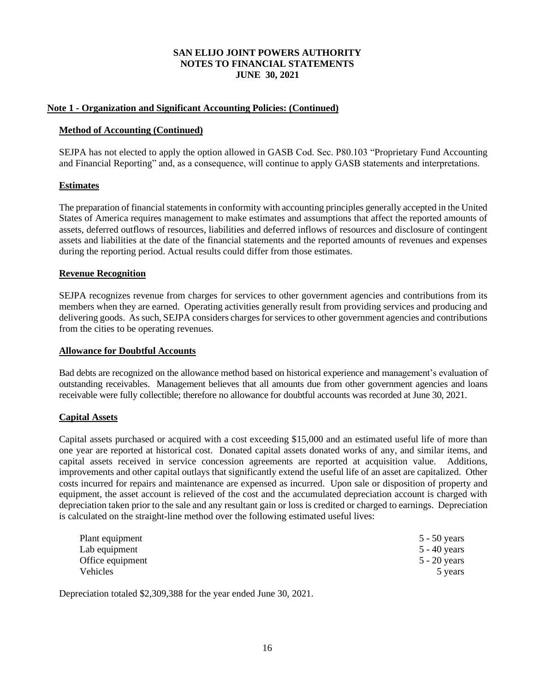# **Note 1 - Organization and Significant Accounting Policies: (Continued)**

# **Method of Accounting (Continued)**

SEJPA has not elected to apply the option allowed in GASB Cod. Sec. P80.103 "Proprietary Fund Accounting and Financial Reporting" and, as a consequence, will continue to apply GASB statements and interpretations.

# **Estimates**

The preparation of financial statements in conformity with accounting principles generally accepted in the United States of America requires management to make estimates and assumptions that affect the reported amounts of assets, deferred outflows of resources, liabilities and deferred inflows of resources and disclosure of contingent assets and liabilities at the date of the financial statements and the reported amounts of revenues and expenses during the reporting period. Actual results could differ from those estimates.

# **Revenue Recognition**

SEJPA recognizes revenue from charges for services to other government agencies and contributions from its members when they are earned. Operating activities generally result from providing services and producing and delivering goods. As such, SEJPA considers charges for services to other government agencies and contributions from the cities to be operating revenues.

### **Allowance for Doubtful Accounts**

Bad debts are recognized on the allowance method based on historical experience and management's evaluation of outstanding receivables. Management believes that all amounts due from other government agencies and loans receivable were fully collectible; therefore no allowance for doubtful accounts was recorded at June 30, 2021.

# **Capital Assets**

Capital assets purchased or acquired with a cost exceeding \$15,000 and an estimated useful life of more than one year are reported at historical cost. Donated capital assets donated works of any, and similar items, and capital assets received in service concession agreements are reported at acquisition value. Additions, improvements and other capital outlays that significantly extend the useful life of an asset are capitalized. Other costs incurred for repairs and maintenance are expensed as incurred. Upon sale or disposition of property and equipment, the asset account is relieved of the cost and the accumulated depreciation account is charged with depreciation taken prior to the sale and any resultant gain or loss is credited or charged to earnings. Depreciation is calculated on the straight-line method over the following estimated useful lives:

| Plant equipment  | $5 - 50$ years |
|------------------|----------------|
| Lab equipment    | 5 - 40 years   |
| Office equipment | $5 - 20$ years |
| Vehicles         | 5 years        |

Depreciation totaled \$2,309,388 for the year ended June 30, 2021.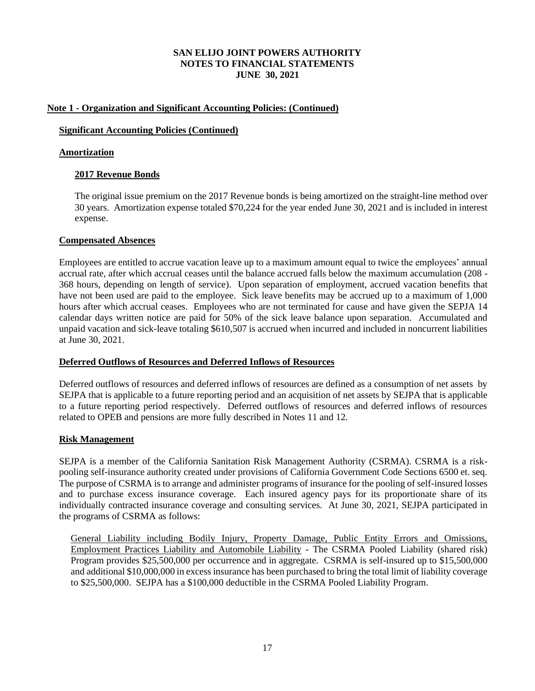# **Note 1 - Organization and Significant Accounting Policies: (Continued)**

# **Significant Accounting Policies (Continued)**

# **Amortization**

# **2017 Revenue Bonds**

The original issue premium on the 2017 Revenue bonds is being amortized on the straight-line method over 30 years. Amortization expense totaled \$70,224 for the year ended June 30, 2021 and is included in interest expense.

# **Compensated Absences**

Employees are entitled to accrue vacation leave up to a maximum amount equal to twice the employees' annual accrual rate, after which accrual ceases until the balance accrued falls below the maximum accumulation (208 - 368 hours, depending on length of service). Upon separation of employment, accrued vacation benefits that have not been used are paid to the employee. Sick leave benefits may be accrued up to a maximum of 1,000 hours after which accrual ceases. Employees who are not terminated for cause and have given the SEPJA 14 calendar days written notice are paid for 50% of the sick leave balance upon separation. Accumulated and unpaid vacation and sick-leave totaling \$610,507 is accrued when incurred and included in noncurrent liabilities at June 30, 2021.

# **Deferred Outflows of Resources and Deferred Inflows of Resources**

Deferred outflows of resources and deferred inflows of resources are defined as a consumption of net assets by SEJPA that is applicable to a future reporting period and an acquisition of net assets by SEJPA that is applicable to a future reporting period respectively. Deferred outflows of resources and deferred inflows of resources related to OPEB and pensions are more fully described in Notes 11 and 12.

# **Risk Management**

SEJPA is a member of the California Sanitation Risk Management Authority (CSRMA). CSRMA is a riskpooling self-insurance authority created under provisions of California Government Code Sections 6500 et. seq. The purpose of CSRMA is to arrange and administer programs of insurance for the pooling of self-insured losses and to purchase excess insurance coverage. Each insured agency pays for its proportionate share of its individually contracted insurance coverage and consulting services. At June 30, 2021, SEJPA participated in the programs of CSRMA as follows:

General Liability including Bodily Injury, Property Damage, Public Entity Errors and Omissions, Employment Practices Liability and Automobile Liability - The CSRMA Pooled Liability (shared risk) Program provides \$25,500,000 per occurrence and in aggregate. CSRMA is self-insured up to \$15,500,000 and additional \$10,000,000 in excess insurance has been purchased to bring the total limit of liability coverage to \$25,500,000. SEJPA has a \$100,000 deductible in the CSRMA Pooled Liability Program.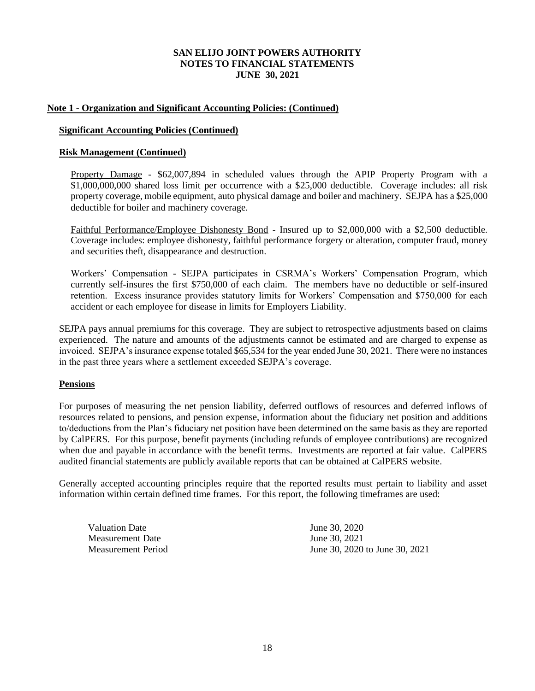# **Note 1 - Organization and Significant Accounting Policies: (Continued)**

### **Significant Accounting Policies (Continued)**

### **Risk Management (Continued)**

Property Damage - \$62,007,894 in scheduled values through the APIP Property Program with a \$1,000,000,000 shared loss limit per occurrence with a \$25,000 deductible. Coverage includes: all risk property coverage, mobile equipment, auto physical damage and boiler and machinery. SEJPA has a \$25,000 deductible for boiler and machinery coverage.

Faithful Performance/Employee Dishonesty Bond - Insured up to \$2,000,000 with a \$2,500 deductible. Coverage includes: employee dishonesty, faithful performance forgery or alteration, computer fraud, money and securities theft, disappearance and destruction.

Workers' Compensation - SEJPA participates in CSRMA's Workers' Compensation Program, which currently self-insures the first \$750,000 of each claim. The members have no deductible or self-insured retention. Excess insurance provides statutory limits for Workers' Compensation and \$750,000 for each accident or each employee for disease in limits for Employers Liability.

SEJPA pays annual premiums for this coverage. They are subject to retrospective adjustments based on claims experienced. The nature and amounts of the adjustments cannot be estimated and are charged to expense as invoiced. SEJPA's insurance expense totaled \$65,534 for the year ended June 30, 2021. There were no instances in the past three years where a settlement exceeded SEJPA's coverage.

# **Pensions**

For purposes of measuring the net pension liability, deferred outflows of resources and deferred inflows of resources related to pensions, and pension expense, information about the fiduciary net position and additions to/deductions from the Plan's fiduciary net position have been determined on the same basis as they are reported by CalPERS. For this purpose, benefit payments (including refunds of employee contributions) are recognized when due and payable in accordance with the benefit terms. Investments are reported at fair value. CalPERS audited financial statements are publicly available reports that can be obtained at CalPERS website.

Generally accepted accounting principles require that the reported results must pertain to liability and asset information within certain defined time frames. For this report, the following timeframes are used:

Valuation Date June 30, 2020 Measurement Date June 30, 2021

Measurement Period June 30, 2020 to June 30, 2021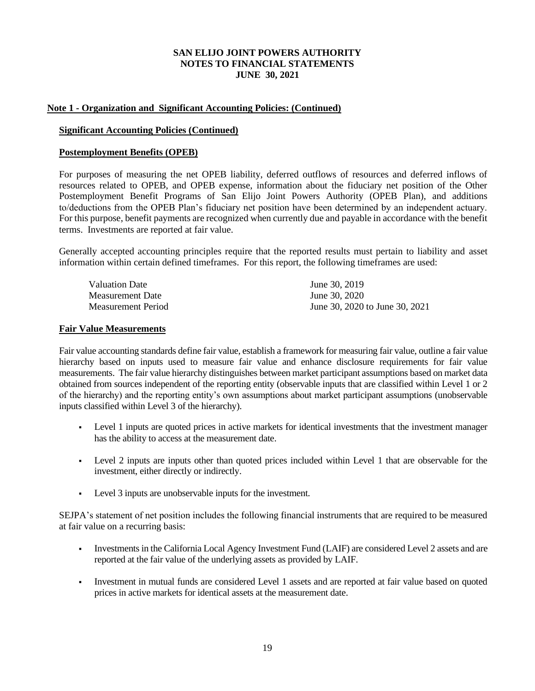### **Note 1 - Organization and Significant Accounting Policies: (Continued)**

#### **Significant Accounting Policies (Continued)**

### **Postemployment Benefits (OPEB)**

For purposes of measuring the net OPEB liability, deferred outflows of resources and deferred inflows of resources related to OPEB, and OPEB expense, information about the fiduciary net position of the Other Postemployment Benefit Programs of San Elijo Joint Powers Authority (OPEB Plan), and additions to/deductions from the OPEB Plan's fiduciary net position have been determined by an independent actuary. For this purpose, benefit payments are recognized when currently due and payable in accordance with the benefit terms. Investments are reported at fair value.

Generally accepted accounting principles require that the reported results must pertain to liability and asset information within certain defined timeframes. For this report, the following timeframes are used:

| Valuation Date     | June 30, 2019                  |
|--------------------|--------------------------------|
| Measurement Date   | June 30, 2020                  |
| Measurement Period | June 30, 2020 to June 30, 2021 |

#### **Fair Value Measurements**

Fair value accounting standards define fair value, establish a framework for measuring fair value, outline a fair value hierarchy based on inputs used to measure fair value and enhance disclosure requirements for fair value measurements. The fair value hierarchy distinguishes between market participant assumptions based on market data obtained from sources independent of the reporting entity (observable inputs that are classified within Level 1 or 2 of the hierarchy) and the reporting entity's own assumptions about market participant assumptions (unobservable inputs classified within Level 3 of the hierarchy).

- Level 1 inputs are quoted prices in active markets for identical investments that the investment manager has the ability to access at the measurement date.
- Level 2 inputs are inputs other than quoted prices included within Level 1 that are observable for the investment, either directly or indirectly.
- Level 3 inputs are unobservable inputs for the investment.

SEJPA's statement of net position includes the following financial instruments that are required to be measured at fair value on a recurring basis:

- Investments in the California Local Agency Investment Fund (LAIF) are considered Level 2 assets and are reported at the fair value of the underlying assets as provided by LAIF.
- Investment in mutual funds are considered Level 1 assets and are reported at fair value based on quoted prices in active markets for identical assets at the measurement date.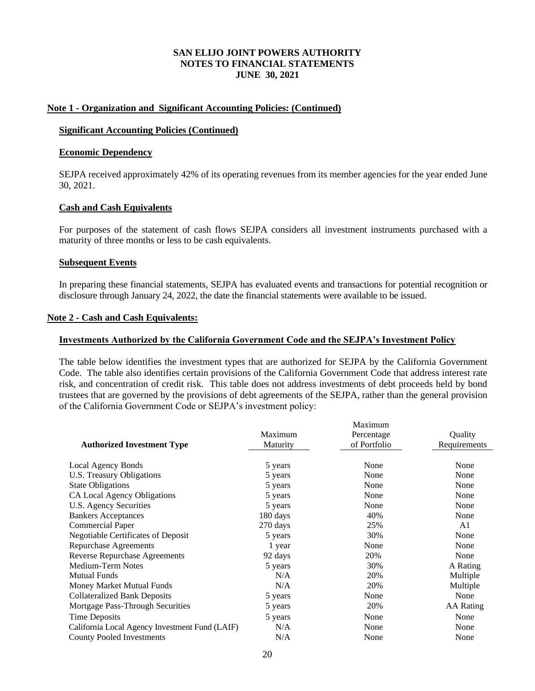### **Note 1 - Organization and Significant Accounting Policies: (Continued)**

#### **Significant Accounting Policies (Continued)**

#### **Economic Dependency**

SEJPA received approximately 42% of its operating revenues from its member agencies for the year ended June 30, 2021.

### **Cash and Cash Equivalents**

For purposes of the statement of cash flows SEJPA considers all investment instruments purchased with a maturity of three months or less to be cash equivalents.

#### **Subsequent Events**

In preparing these financial statements, SEJPA has evaluated events and transactions for potential recognition or disclosure through January 24, 2022, the date the financial statements were available to be issued.

#### **Note 2 - Cash and Cash Equivalents:**

#### **Investments Authorized by the California Government Code and the SEJPA's Investment Policy**

The table below identifies the investment types that are authorized for SEJPA by the California Government Code. The table also identifies certain provisions of the California Government Code that address interest rate risk, and concentration of credit risk. This table does not address investments of debt proceeds held by bond trustees that are governed by the provisions of debt agreements of the SEJPA, rather than the general provision of the California Government Code or SEJPA's investment policy:

|                                                |          | Maximum      |              |
|------------------------------------------------|----------|--------------|--------------|
|                                                | Maximum  | Percentage   | Quality      |
| <b>Authorized Investment Type</b>              | Maturity | of Portfolio | Requirements |
|                                                |          |              |              |
| Local Agency Bonds                             | 5 years  | None         | None         |
| U.S. Treasury Obligations                      | 5 years  | None         | None         |
| <b>State Obligations</b>                       | 5 years  | None         | None         |
| CA Local Agency Obligations                    | 5 years  | None         | None         |
| U.S. Agency Securities                         | 5 years  | None         | None         |
| <b>Bankers Acceptances</b>                     | 180 days | 40%          | None         |
| <b>Commercial Paper</b>                        | 270 days | 25%          | A1           |
| <b>Negotiable Certificates of Deposit</b>      | 5 years  | 30%          | None         |
| <b>Repurchase Agreements</b>                   | 1 year   | None         | None         |
| Reverse Repurchase Agreements                  | 92 days  | 20%          | None         |
| Medium-Term Notes                              | 5 years  | 30%          | A Rating     |
| <b>Mutual Funds</b>                            | N/A      | 20%          | Multiple     |
| Money Market Mutual Funds                      | N/A      | 20%          | Multiple     |
| <b>Collateralized Bank Deposits</b>            | 5 years  | None         | None         |
| Mortgage Pass-Through Securities               | 5 years  | 20%          | AA Rating    |
| <b>Time Deposits</b>                           | 5 years  | None         | None         |
| California Local Agency Investment Fund (LAIF) | N/A      | None         | None         |
| <b>County Pooled Investments</b>               | N/A      | None         | None         |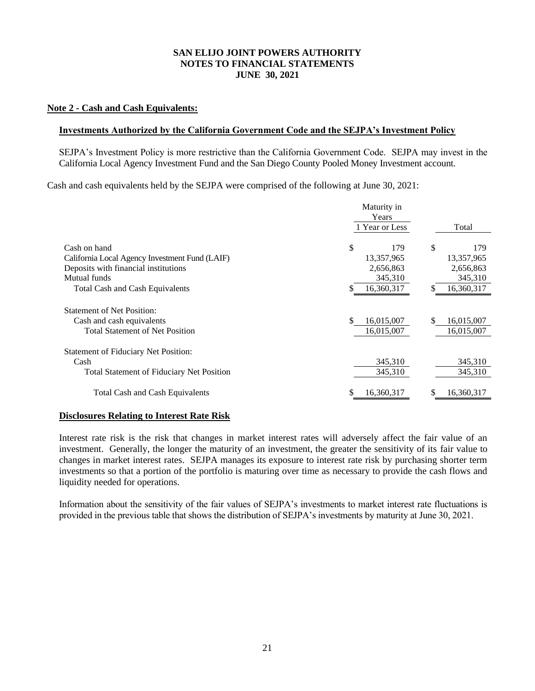### **Note 2 - Cash and Cash Equivalents:**

#### **Investments Authorized by the California Government Code and the SEJPA's Investment Policy**

SEJPA's Investment Policy is more restrictive than the California Government Code. SEJPA may invest in the California Local Agency Investment Fund and the San Diego County Pooled Money Investment account.

Cash and cash equivalents held by the SEJPA were comprised of the following at June 30, 2021:

|                                                                                                          | Maturity in<br>Years           |                                |
|----------------------------------------------------------------------------------------------------------|--------------------------------|--------------------------------|
|                                                                                                          | 1 Year or Less                 | Total                          |
| Cash on hand                                                                                             | \$<br>179                      | \$<br>179                      |
| California Local Agency Investment Fund (LAIF)                                                           | 13,357,965                     | 13,357,965                     |
| Deposits with financial institutions                                                                     | 2,656,863                      | 2,656,863                      |
| Mutual funds                                                                                             | 345,310                        | 345,310                        |
| <b>Total Cash and Cash Equivalents</b>                                                                   | 16,360,317<br>\$               | 16,360,317<br>S                |
| <b>Statement of Net Position:</b><br>Cash and cash equivalents<br><b>Total Statement of Net Position</b> | \$<br>16,015,007<br>16,015,007 | \$<br>16,015,007<br>16,015,007 |
| <b>Statement of Fiduciary Net Position:</b>                                                              |                                |                                |
| Cash                                                                                                     | 345,310                        | 345,310                        |
| Total Statement of Fiduciary Net Position                                                                | 345,310                        | 345,310                        |
| <b>Total Cash and Cash Equivalents</b>                                                                   | \$<br>16,360,317               | 16,360,317<br>S                |

#### **Disclosures Relating to Interest Rate Risk**

Interest rate risk is the risk that changes in market interest rates will adversely affect the fair value of an investment. Generally, the longer the maturity of an investment, the greater the sensitivity of its fair value to changes in market interest rates. SEJPA manages its exposure to interest rate risk by purchasing shorter term investments so that a portion of the portfolio is maturing over time as necessary to provide the cash flows and liquidity needed for operations.

Information about the sensitivity of the fair values of SEJPA's investments to market interest rate fluctuations is provided in the previous table that shows the distribution of SEJPA's investments by maturity at June 30, 2021.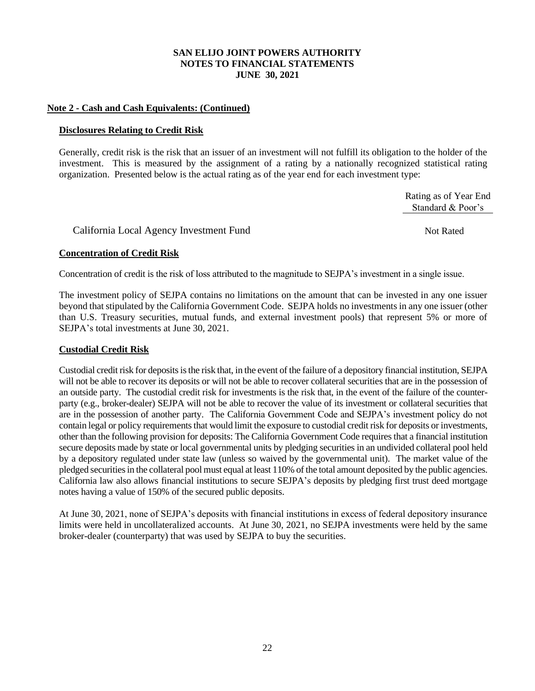# **Note 2 - Cash and Cash Equivalents: (Continued)**

### **Disclosures Relating to Credit Risk**

Generally, credit risk is the risk that an issuer of an investment will not fulfill its obligation to the holder of the investment. This is measured by the assignment of a rating by a nationally recognized statistical rating organization. Presented below is the actual rating as of the year end for each investment type:

> Rating as of Year End Standard & Poor's

California Local Agency Investment Fund Not Rated

# **Concentration of Credit Risk**

Concentration of credit is the risk of loss attributed to the magnitude to SEJPA's investment in a single issue.

The investment policy of SEJPA contains no limitations on the amount that can be invested in any one issuer beyond that stipulated by the California Government Code. SEJPA holds no investments in any one issuer (other than U.S. Treasury securities, mutual funds, and external investment pools) that represent 5% or more of SEJPA's total investments at June 30, 2021.

# **Custodial Credit Risk**

Custodial credit risk for deposits is the risk that, in the event of the failure of a depository financial institution, SEJPA will not be able to recover its deposits or will not be able to recover collateral securities that are in the possession of an outside party. The custodial credit risk for investments is the risk that, in the event of the failure of the counterparty (e.g., broker-dealer) SEJPA will not be able to recover the value of its investment or collateral securities that are in the possession of another party. The California Government Code and SEJPA's investment policy do not contain legal or policy requirements that would limit the exposure to custodial credit risk for deposits or investments, other than the following provision for deposits: The California Government Code requires that a financial institution secure deposits made by state or local governmental units by pledging securities in an undivided collateral pool held by a depository regulated under state law (unless so waived by the governmental unit). The market value of the pledged securities in the collateral pool must equal at least 110% of the total amount deposited by the public agencies. California law also allows financial institutions to secure SEJPA's deposits by pledging first trust deed mortgage notes having a value of 150% of the secured public deposits.

At June 30, 2021, none of SEJPA's deposits with financial institutions in excess of federal depository insurance limits were held in uncollateralized accounts. At June 30, 2021, no SEJPA investments were held by the same broker-dealer (counterparty) that was used by SEJPA to buy the securities.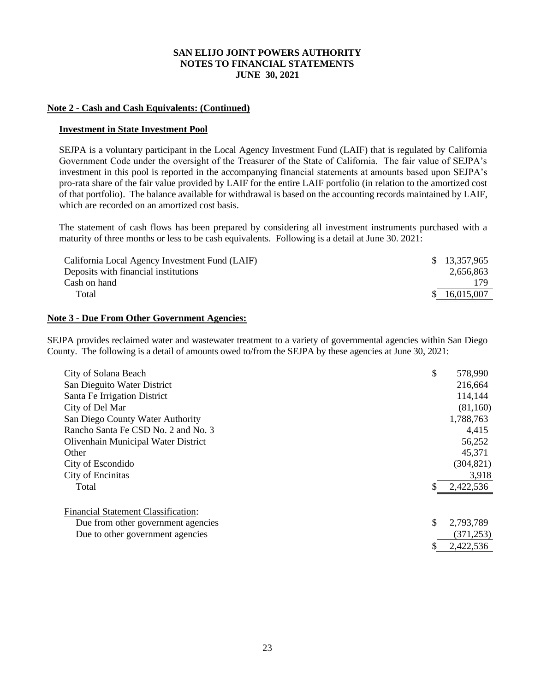### **Note 2 - Cash and Cash Equivalents: (Continued)**

#### **Investment in State Investment Pool**

SEJPA is a voluntary participant in the Local Agency Investment Fund (LAIF) that is regulated by California Government Code under the oversight of the Treasurer of the State of California. The fair value of SEJPA's investment in this pool is reported in the accompanying financial statements at amounts based upon SEJPA's pro-rata share of the fair value provided by LAIF for the entire LAIF portfolio (in relation to the amortized cost of that portfolio). The balance available for withdrawal is based on the accounting records maintained by LAIF, which are recorded on an amortized cost basis.

The statement of cash flows has been prepared by considering all investment instruments purchased with a maturity of three months or less to be cash equivalents. Following is a detail at June 30. 2021:

| California Local Agency Investment Fund (LAIF) | \$ 13,357,965 |
|------------------------------------------------|---------------|
| Deposits with financial institutions           | 2.656.863     |
| Cash on hand                                   | 179           |
| Total                                          | 16,015,007    |

#### **Note 3 - Due From Other Government Agencies:**

SEJPA provides reclaimed water and wastewater treatment to a variety of governmental agencies within San Diego County. The following is a detail of amounts owed to/from the SEJPA by these agencies at June 30, 2021:

| City of Solana Beach                       | \$<br>578,990   |
|--------------------------------------------|-----------------|
| San Dieguito Water District                | 216,664         |
|                                            |                 |
| Santa Fe Irrigation District               | 114,144         |
| City of Del Mar                            | (81,160)        |
| San Diego County Water Authority           | 1,788,763       |
| Rancho Santa Fe CSD No. 2 and No. 3        | 4,415           |
| Olivenhain Municipal Water District        | 56,252          |
| Other                                      | 45,371          |
| City of Escondido                          | (304, 821)      |
| City of Encinitas                          | 3,918           |
| Total                                      | \$<br>2,422,536 |
| <b>Financial Statement Classification:</b> |                 |
| Due from other government agencies         | \$<br>2,793,789 |
| Due to other government agencies           | (371, 253)      |
|                                            | \$<br>2,422,536 |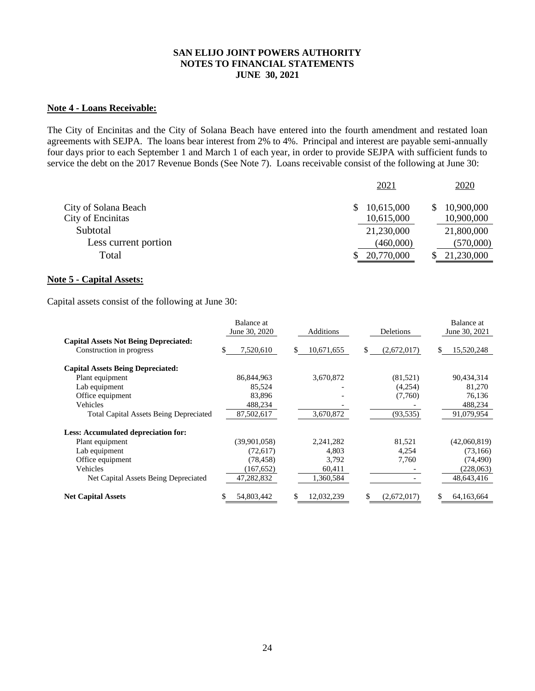## **Note 4 - Loans Receivable:**

The City of Encinitas and the City of Solana Beach have entered into the fourth amendment and restated loan agreements with SEJPA. The loans bear interest from 2% to 4%. Principal and interest are payable semi-annually four days prior to each September 1 and March 1 of each year, in order to provide SEJPA with sufficient funds to service the debt on the 2017 Revenue Bonds (See Note 7). Loans receivable consist of the following at June 30:

|                      | <u>2021</u> | <u>2020</u> |
|----------------------|-------------|-------------|
| City of Solana Beach | 10,615,000  | 10,900,000  |
| City of Encinitas    | 10,615,000  | 10,900,000  |
| Subtotal             | 21,230,000  | 21,800,000  |
| Less current portion | (460,000)   | (570,000)   |
| Total                | 20,770,000  | 21,230,000  |
|                      |             |             |

#### **Note 5 - Capital Assets:**

Capital assets consist of the following at June 30:

|                                               | Balance at    |                  |                            | Balance at      |
|-----------------------------------------------|---------------|------------------|----------------------------|-----------------|
|                                               | June 30, 2020 | Additions        | June 30, 2021<br>Deletions |                 |
| <b>Capital Assets Not Being Depreciated:</b>  |               |                  |                            |                 |
| Construction in progress                      | 7,520,610     | 10,671,655<br>\$ | \$<br>(2,672,017)          | 15,520,248<br>Я |
| <b>Capital Assets Being Depreciated:</b>      |               |                  |                            |                 |
| Plant equipment                               | 86,844,963    | 3,670,872        | (81,521)                   | 90,434,314      |
| Lab equipment                                 | 85.524        |                  | (4,254)                    | 81,270          |
| Office equipment                              | 83,896        |                  | (7,760)                    | 76,136          |
| Vehicles                                      | 488,234       |                  |                            | 488,234         |
| <b>Total Capital Assets Being Depreciated</b> | 87,502,617    | 3,670,872        | (93, 535)                  | 91,079,954      |
| Less: Accumulated depreciation for:           |               |                  |                            |                 |
| Plant equipment                               | (39,901,058)  | 2,241,282        | 81,521                     | (42,060,819)    |
| Lab equipment                                 | (72,617)      | 4,803            | 4,254                      | (73,166)        |
| Office equipment                              | (78, 458)     | 3,792            | 7,760                      | (74, 490)       |
| Vehicles                                      | (167, 652)    | 60,411           |                            | (228,063)       |
| Net Capital Assets Being Depreciated          | 47,282,832    | 1,360,584        |                            | 48,643,416      |
| <b>Net Capital Assets</b>                     | 54,803,442    | \$<br>12,032,239 | (2,672,017)                | 64, 163, 664    |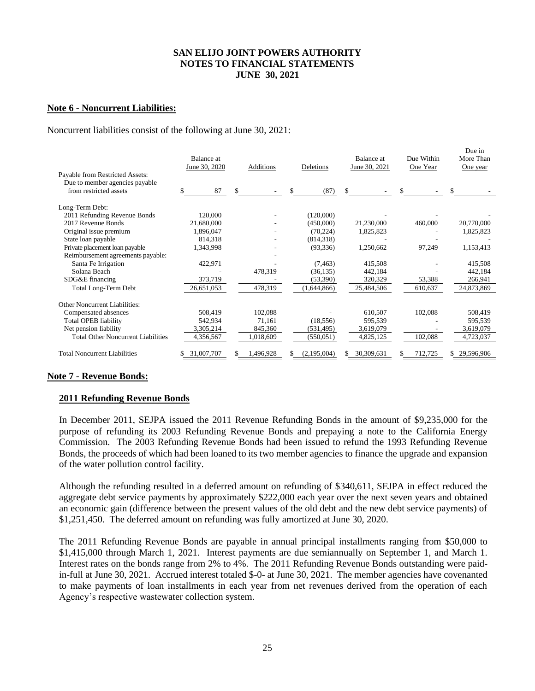### **Note 6 - Noncurrent Liabilities:**

#### Noncurrent liabilities consist of the following at June 30, 2021:

|                                                                                             | Balance at<br>June 30, 2020 | Additions | Deletions   | Balance at<br>June 30, 2021 | Due Within<br>One Year | Due in<br>More Than<br>One year |
|---------------------------------------------------------------------------------------------|-----------------------------|-----------|-------------|-----------------------------|------------------------|---------------------------------|
| Payable from Restricted Assets:<br>Due to member agencies payable<br>from restricted assets | 87                          | \$        | \$<br>(87)  | \$                          | \$                     | \$                              |
|                                                                                             |                             |           |             |                             |                        |                                 |
| Long-Term Debt:                                                                             |                             |           |             |                             |                        |                                 |
| 2011 Refunding Revenue Bonds                                                                | 120,000                     |           | (120,000)   |                             |                        |                                 |
| 2017 Revenue Bonds                                                                          | 21,680,000                  |           | (450,000)   | 21,230,000                  | 460,000                | 20,770,000                      |
| Original issue premium                                                                      | 1,896,047                   |           | (70, 224)   | 1,825,823                   |                        | 1,825,823                       |
| State loan payable                                                                          | 814,318                     |           | (814,318)   |                             |                        |                                 |
| Private placement loan payable                                                              | 1,343,998                   |           | (93, 336)   | 1,250,662                   | 97,249                 | 1,153,413                       |
| Reimbursement agreements payable:                                                           |                             |           |             |                             |                        |                                 |
| Santa Fe Irrigation                                                                         | 422,971                     |           | (7, 463)    | 415,508                     |                        | 415,508                         |
| Solana Beach                                                                                |                             | 478,319   | (36, 135)   | 442,184                     |                        | 442,184                         |
| SDG&E financing                                                                             | 373,719                     |           | (53,390)    | 320,329                     | 53,388                 | 266,941                         |
| <b>Total Long-Term Debt</b>                                                                 | 26,651,053                  | 478,319   | (1,644,866) | 25,484,506                  | 610,637                | 24,873,869                      |
| Other Noncurrent Liabilities:                                                               |                             |           |             |                             |                        |                                 |
| Compensated absences                                                                        | 508,419                     | 102,088   |             | 610,507                     | 102,088                | 508,419                         |
| <b>Total OPEB liability</b>                                                                 | 542,934                     | 71,161    | (18, 556)   | 595,539                     |                        | 595,539                         |
| Net pension liability                                                                       | 3,305,214                   | 845,360   | (531, 495)  | 3,619,079                   |                        | 3,619,079                       |
| <b>Total Other Noncurrent Liabilities</b>                                                   | 4,356,567                   | 1,018,609 | (550, 051)  | 4,825,125                   | 102,088                | 4,723,037                       |
| <b>Total Noncurrent Liabilities</b>                                                         | 31,007,707                  | 1,496,928 | (2,195,004) | 30,309,631                  | 712,725                | 29,596,906                      |

# **Note 7 - Revenue Bonds:**

#### **2011 Refunding Revenue Bonds**

In December 2011, SEJPA issued the 2011 Revenue Refunding Bonds in the amount of \$9,235,000 for the purpose of refunding its 2003 Refunding Revenue Bonds and prepaying a note to the California Energy Commission. The 2003 Refunding Revenue Bonds had been issued to refund the 1993 Refunding Revenue Bonds, the proceeds of which had been loaned to its two member agencies to finance the upgrade and expansion of the water pollution control facility.

Although the refunding resulted in a deferred amount on refunding of \$340,611, SEJPA in effect reduced the aggregate debt service payments by approximately \$222,000 each year over the next seven years and obtained an economic gain (difference between the present values of the old debt and the new debt service payments) of \$1,251,450. The deferred amount on refunding was fully amortized at June 30, 2020.

The 2011 Refunding Revenue Bonds are payable in annual principal installments ranging from \$50,000 to \$1,415,000 through March 1, 2021. Interest payments are due semiannually on September 1, and March 1. Interest rates on the bonds range from 2% to 4%. The 2011 Refunding Revenue Bonds outstanding were paidin-full at June 30, 2021. Accrued interest totaled \$-0- at June 30, 2021. The member agencies have covenanted to make payments of loan installments in each year from net revenues derived from the operation of each Agency's respective wastewater collection system.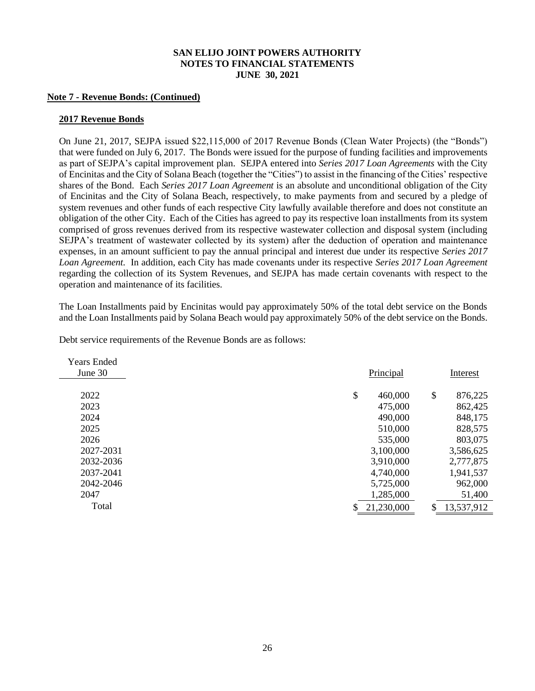#### **Note 7 - Revenue Bonds: (Continued)**

#### **2017 Revenue Bonds**

On June 21, 2017, SEJPA issued \$22,115,000 of 2017 Revenue Bonds (Clean Water Projects) (the "Bonds") that were funded on July 6, 2017. The Bonds were issued for the purpose of funding facilities and improvements as part of SEJPA's capital improvement plan. SEJPA entered into *Series 2017 Loan Agreements* with the City of Encinitas and the City of Solana Beach (together the "Cities") to assist in the financing of the Cities' respective shares of the Bond. Each *Series 2017 Loan Agreement* is an absolute and unconditional obligation of the City of Encinitas and the City of Solana Beach, respectively, to make payments from and secured by a pledge of system revenues and other funds of each respective City lawfully available therefore and does not constitute an obligation of the other City. Each of the Cities has agreed to pay its respective loan installments from its system comprised of gross revenues derived from its respective wastewater collection and disposal system (including SEJPA's treatment of wastewater collected by its system) after the deduction of operation and maintenance expenses, in an amount sufficient to pay the annual principal and interest due under its respective *Series 2017 Loan Agreement.* In addition, each City has made covenants under its respective *Series 2017 Loan Agreement* regarding the collection of its System Revenues, and SEJPA has made certain covenants with respect to the operation and maintenance of its facilities.

The Loan Installments paid by Encinitas would pay approximately 50% of the total debt service on the Bonds and the Loan Installments paid by Solana Beach would pay approximately 50% of the debt service on the Bonds.

| Debt service requirements of the Revenue Bonds are as follows: |
|----------------------------------------------------------------|
|----------------------------------------------------------------|

| <b>Years Ended</b> |               |                  |
|--------------------|---------------|------------------|
| June 30            | Principal     | Interest         |
|                    |               |                  |
| 2022               | \$<br>460,000 | \$<br>876,225    |
| 2023               | 475,000       | 862,425          |
| 2024               | 490,000       | 848,175          |
| 2025               | 510,000       | 828,575          |
| 2026               | 535,000       | 803,075          |
| 2027-2031          | 3,100,000     | 3,586,625        |
| 2032-2036          | 3,910,000     | 2,777,875        |
| 2037-2041          | 4,740,000     | 1,941,537        |
| 2042-2046          | 5,725,000     | 962,000          |
| 2047               | 1,285,000     | 51,400           |
| Total              | 21,230,000    | \$<br>13,537,912 |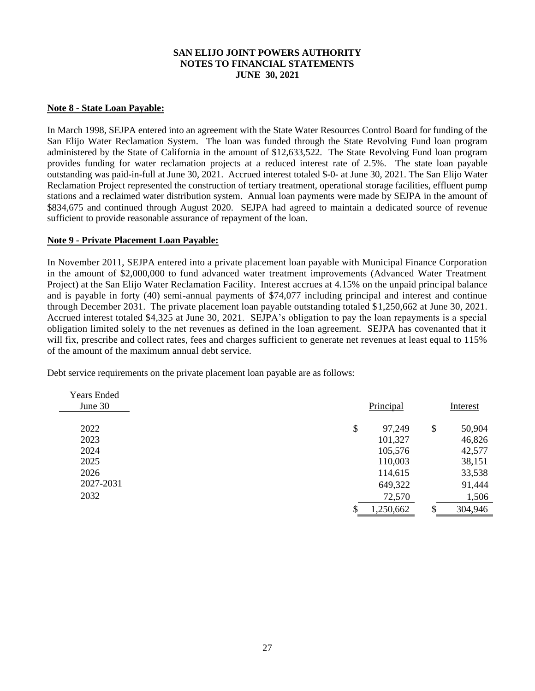### **Note 8 - State Loan Payable:**

In March 1998, SEJPA entered into an agreement with the State Water Resources Control Board for funding of the San Elijo Water Reclamation System. The loan was funded through the State Revolving Fund loan program administered by the State of California in the amount of \$12,633,522. The State Revolving Fund loan program provides funding for water reclamation projects at a reduced interest rate of 2.5%. The state loan payable outstanding was paid-in-full at June 30, 2021. Accrued interest totaled \$-0- at June 30, 2021. The San Elijo Water Reclamation Project represented the construction of tertiary treatment, operational storage facilities, effluent pump stations and a reclaimed water distribution system. Annual loan payments were made by SEJPA in the amount of \$834,675 and continued through August 2020. SEJPA had agreed to maintain a dedicated source of revenue sufficient to provide reasonable assurance of repayment of the loan.

# **Note 9 - Private Placement Loan Payable:**

In November 2011, SEJPA entered into a private placement loan payable with Municipal Finance Corporation in the amount of \$2,000,000 to fund advanced water treatment improvements (Advanced Water Treatment Project) at the San Elijo Water Reclamation Facility. Interest accrues at 4.15% on the unpaid principal balance and is payable in forty (40) semi-annual payments of \$74,077 including principal and interest and continue through December 2031. The private placement loan payable outstanding totaled \$1,250,662 at June 30, 2021. Accrued interest totaled \$4,325 at June 30, 2021. SEJPA's obligation to pay the loan repayments is a special obligation limited solely to the net revenues as defined in the loan agreement. SEJPA has covenanted that it will fix, prescribe and collect rates, fees and charges sufficient to generate net revenues at least equal to  $115\%$ of the amount of the maximum annual debt service.

Debt service requirements on the private placement loan payable are as follows:

| <b>Years Ended</b> |              |        |          |
|--------------------|--------------|--------|----------|
| June 30            | Principal    |        | Interest |
|                    |              |        |          |
| 2022               | \$<br>97,249 | \$     | 50,904   |
| 2023               | 101,327      |        | 46,826   |
| 2024               | 105,576      |        | 42,577   |
| 2025               | 110,003      |        | 38,151   |
| 2026               | 114,615      |        | 33,538   |
| 2027-2031          | 649,322      |        | 91,444   |
| 2032               | 72,570       |        | 1,506    |
|                    | 1,250,662    | ¢<br>Φ | 304,946  |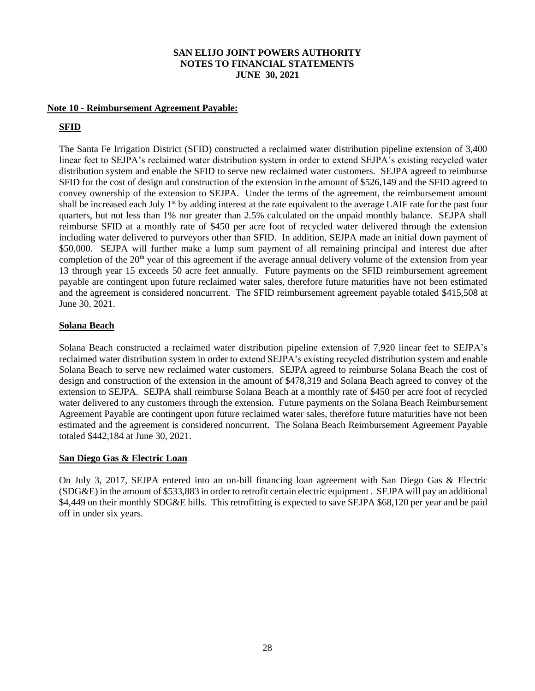### **Note 10 - Reimbursement Agreement Payable:**

# **SFID**

The Santa Fe Irrigation District (SFID) constructed a reclaimed water distribution pipeline extension of 3,400 linear feet to SEJPA's reclaimed water distribution system in order to extend SEJPA's existing recycled water distribution system and enable the SFID to serve new reclaimed water customers. SEJPA agreed to reimburse SFID for the cost of design and construction of the extension in the amount of \$526,149 and the SFID agreed to convey ownership of the extension to SEJPA. Under the terms of the agreement, the reimbursement amount shall be increased each July  $1<sup>st</sup>$  by adding interest at the rate equivalent to the average LAIF rate for the past four quarters, but not less than 1% nor greater than 2.5% calculated on the unpaid monthly balance. SEJPA shall reimburse SFID at a monthly rate of \$450 per acre foot of recycled water delivered through the extension including water delivered to purveyors other than SFID. In addition, SEJPA made an initial down payment of \$50,000. SEJPA will further make a lump sum payment of all remaining principal and interest due after completion of the 20<sup>th</sup> year of this agreement if the average annual delivery volume of the extension from year 13 through year 15 exceeds 50 acre feet annually. Future payments on the SFID reimbursement agreement payable are contingent upon future reclaimed water sales, therefore future maturities have not been estimated and the agreement is considered noncurrent. The SFID reimbursement agreement payable totaled \$415,508 at June 30, 2021.

### **Solana Beach**

Solana Beach constructed a reclaimed water distribution pipeline extension of 7,920 linear feet to SEJPA's reclaimed water distribution system in order to extend SEJPA's existing recycled distribution system and enable Solana Beach to serve new reclaimed water customers. SEJPA agreed to reimburse Solana Beach the cost of design and construction of the extension in the amount of \$478,319 and Solana Beach agreed to convey of the extension to SEJPA. SEJPA shall reimburse Solana Beach at a monthly rate of \$450 per acre foot of recycled water delivered to any customers through the extension. Future payments on the Solana Beach Reimbursement Agreement Payable are contingent upon future reclaimed water sales, therefore future maturities have not been estimated and the agreement is considered noncurrent. The Solana Beach Reimbursement Agreement Payable totaled \$442,184 at June 30, 2021.

# **San Diego Gas & Electric Loan**

On July 3, 2017, SEJPA entered into an on-bill financing loan agreement with San Diego Gas & Electric (SDG&E) in the amount of \$533,883 in order to retrofit certain electric equipment . SEJPA will pay an additional \$4,449 on their monthly SDG&E bills. This retrofitting is expected to save SEJPA \$68,120 per year and be paid off in under six years.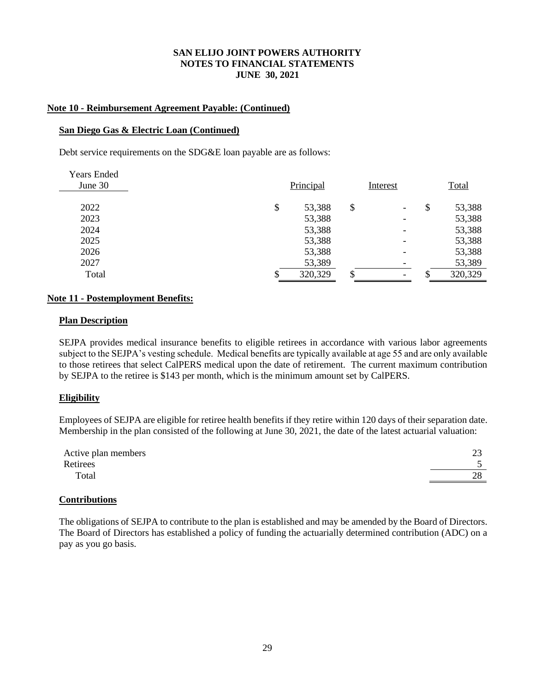### **Note 10 - Reimbursement Agreement Payable: (Continued)**

#### **San Diego Gas & Electric Loan (Continued)**

Debt service requirements on the SDG&E loan payable are as follows:

| <b>Years Ended</b><br>June 30 |    | Principal | Interest                       | Total        |
|-------------------------------|----|-----------|--------------------------------|--------------|
| 2022                          | \$ | 53,388    | \$<br>$\overline{\phantom{a}}$ | \$<br>53,388 |
| 2023                          |    | 53,388    | -                              | 53,388       |
| 2024                          |    | 53,388    | ۰                              | 53,388       |
| 2025                          |    | 53,388    |                                | 53,388       |
| 2026                          |    | 53,388    |                                | 53,388       |
| 2027                          |    | 53,389    |                                | 53,389       |
| Total                         | S  | 320,329   | $\overline{\phantom{0}}$       | 320,329      |

### **Note 11 - Postemployment Benefits:**

#### **Plan Description**

SEJPA provides medical insurance benefits to eligible retirees in accordance with various labor agreements subject to the SEJPA's vesting schedule. Medical benefits are typically available at age 55 and are only available to those retirees that select CalPERS medical upon the date of retirement. The current maximum contribution by SEJPA to the retiree is \$143 per month, which is the minimum amount set by CalPERS.

# **Eligibility**

Employees of SEJPA are eligible for retiree health benefits if they retire within 120 days of their separation date. Membership in the plan consisted of the following at June 30, 2021, the date of the latest actuarial valuation:

| Active plan members | ت                |
|---------------------|------------------|
| Retirees            |                  |
| Total               | າ໑<br>$\angle C$ |

# **Contributions**

The obligations of SEJPA to contribute to the plan is established and may be amended by the Board of Directors. The Board of Directors has established a policy of funding the actuarially determined contribution (ADC) on a pay as you go basis.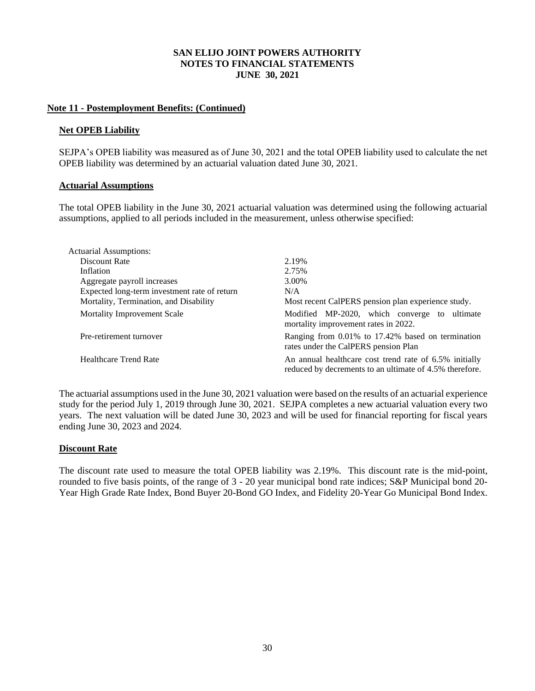### **Note 11 - Postemployment Benefits: (Continued)**

#### **Net OPEB Liability**

SEJPA's OPEB liability was measured as of June 30, 2021 and the total OPEB liability used to calculate the net OPEB liability was determined by an actuarial valuation dated June 30, 2021.

#### **Actuarial Assumptions**

The total OPEB liability in the June 30, 2021 actuarial valuation was determined using the following actuarial assumptions, applied to all periods included in the measurement, unless otherwise specified:

| <b>Actuarial Assumptions:</b>                |                                                                                                                   |
|----------------------------------------------|-------------------------------------------------------------------------------------------------------------------|
| Discount Rate                                | 2.19%                                                                                                             |
| Inflation                                    | 2.75%                                                                                                             |
| Aggregate payroll increases                  | 3.00%                                                                                                             |
| Expected long-term investment rate of return | N/A                                                                                                               |
| Mortality, Termination, and Disability       | Most recent CalPERS pension plan experience study.                                                                |
| Mortality Improvement Scale                  | Modified MP-2020, which converge to ultimate<br>mortality improvement rates in 2022.                              |
| Pre-retirement turnover                      | Ranging from 0.01% to 17.42% based on termination<br>rates under the CalPERS pension Plan                         |
| <b>Healthcare Trend Rate</b>                 | An annual healthcare cost trend rate of 6.5% initially<br>reduced by decrements to an ultimate of 4.5% therefore. |

The actuarial assumptions used in the June 30, 2021 valuation were based on the results of an actuarial experience study for the period July 1, 2019 through June 30, 2021. SEJPA completes a new actuarial valuation every two years. The next valuation will be dated June 30, 2023 and will be used for financial reporting for fiscal years ending June 30, 2023 and 2024.

# **Discount Rate**

The discount rate used to measure the total OPEB liability was 2.19%. This discount rate is the mid-point, rounded to five basis points, of the range of 3 - 20 year municipal bond rate indices; S&P Municipal bond 20- Year High Grade Rate Index, Bond Buyer 20-Bond GO Index, and Fidelity 20-Year Go Municipal Bond Index.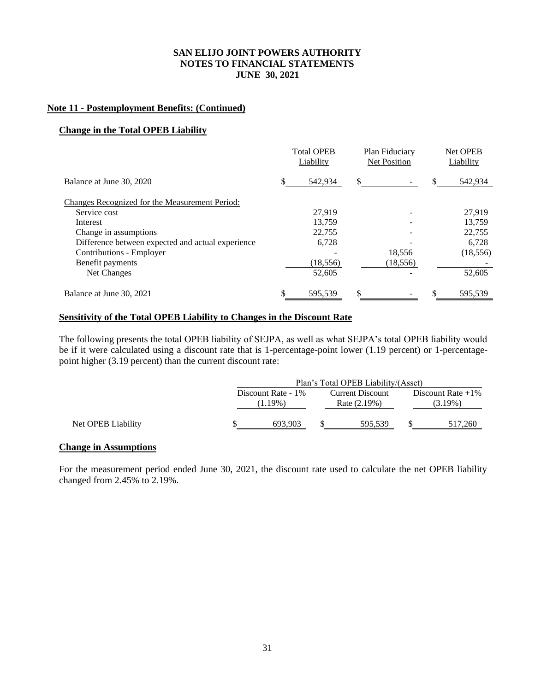### **Note 11 - Postemployment Benefits: (Continued)**

#### **Change in the Total OPEB Liability**

|                                                   | <b>Total OPEB</b><br>Liability |     | Plan Fiduciary<br>Net Position |    | Net OPEB<br>Liability |
|---------------------------------------------------|--------------------------------|-----|--------------------------------|----|-----------------------|
| Balance at June 30, 2020                          | \$<br>542.934                  | \$. |                                | \$ | 542,934               |
| Changes Recognized for the Measurement Period:    |                                |     |                                |    |                       |
| Service cost                                      | 27.919                         |     |                                |    | 27.919                |
| Interest                                          | 13.759                         |     |                                |    | 13.759                |
| Change in assumptions                             | 22,755                         |     |                                |    | 22,755                |
| Difference between expected and actual experience | 6,728                          |     |                                |    | 6,728                 |
| Contributions - Employer                          |                                |     | 18,556                         |    | (18, 556)             |
| Benefit payments                                  | (18, 556)                      |     | (18, 556)                      |    |                       |
| Net Changes                                       | 52,605                         |     |                                |    | 52,605                |
| Balance at June 30, 2021                          | \$<br>595.539                  | \$  |                                | S  | 595.539               |

### **Sensitivity of the Total OPEB Liability to Changes in the Discount Rate**

The following presents the total OPEB liability of SEJPA, as well as what SEJPA's total OPEB liability would be if it were calculated using a discount rate that is 1-percentage-point lower (1.19 percent) or 1-percentagepoint higher (3.19 percent) than the current discount rate:

|                    | Plan's Total OPEB Liability/(Asset) |  |                                         |  |                                 |  |
|--------------------|-------------------------------------|--|-----------------------------------------|--|---------------------------------|--|
|                    | Discount Rate - 1%<br>$(1.19\%)$    |  | <b>Current Discount</b><br>Rate (2.19%) |  | Discount Rate $+1\%$<br>(3.19%) |  |
| Net OPEB Liability | 693,903                             |  | 595,539                                 |  | 517,260                         |  |

#### **Change in Assumptions**

For the measurement period ended June 30, 2021, the discount rate used to calculate the net OPEB liability changed from 2.45% to 2.19%.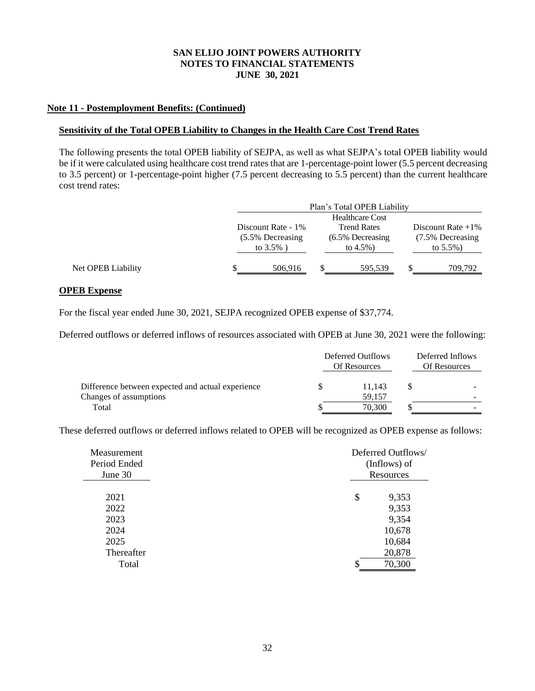# **Note 11 - Postemployment Benefits: (Continued)**

#### **Sensitivity of the Total OPEB Liability to Changes in the Health Care Cost Trend Rates**

The following presents the total OPEB liability of SEJPA, as well as what SEJPA's total OPEB liability would be if it were calculated using healthcare cost trend rates that are 1-percentage-point lower (5.5 percent decreasing to 3.5 percent) or 1-percentage-point higher (7.5 percent decreasing to 5.5 percent) than the current healthcare cost trend rates:

|                    |                    | Plan's Total OPEB Liability |                      |
|--------------------|--------------------|-----------------------------|----------------------|
|                    |                    | <b>Healthcare Cost</b>      |                      |
|                    | Discount Rate - 1% | <b>Trend Rates</b>          | Discount Rate $+1\%$ |
|                    | (5.5% Decreasing   | $(6.5\%$ Decreasing         | (7.5% Decreasing     |
|                    | to $3.5\%$ )       | to $4.5\%$ )                | to $5.5\%$ )         |
| Net OPEB Liability | 506,916            | 595,539                     | 709,792              |

### **OPEB Expense**

For the fiscal year ended June 30, 2021, SEJPA recognized OPEB expense of \$37,774.

Deferred outflows or deferred inflows of resources associated with OPEB at June 30, 2021 were the following:

|                                                   | Deferred Outflows<br>Of Resources |        | Deferred Inflows<br>Of Resources |  |
|---------------------------------------------------|-----------------------------------|--------|----------------------------------|--|
| Difference between expected and actual experience |                                   | 11.143 |                                  |  |
| Changes of assumptions                            |                                   | 59.157 |                                  |  |
| Total                                             |                                   | 70,300 |                                  |  |

These deferred outflows or deferred inflows related to OPEB will be recognized as OPEB expense as follows:

| Measurement                          | Deferred Outflows/                                |
|--------------------------------------|---------------------------------------------------|
| Period Ended                         | (Inflows) of                                      |
| June 30                              | Resources                                         |
| 2021<br>2022<br>2023<br>2024<br>2025 | \$<br>9,353<br>9,353<br>9,354<br>10,678<br>10,684 |
| Thereafter                           | 20,878                                            |
| Total                                | 70,300                                            |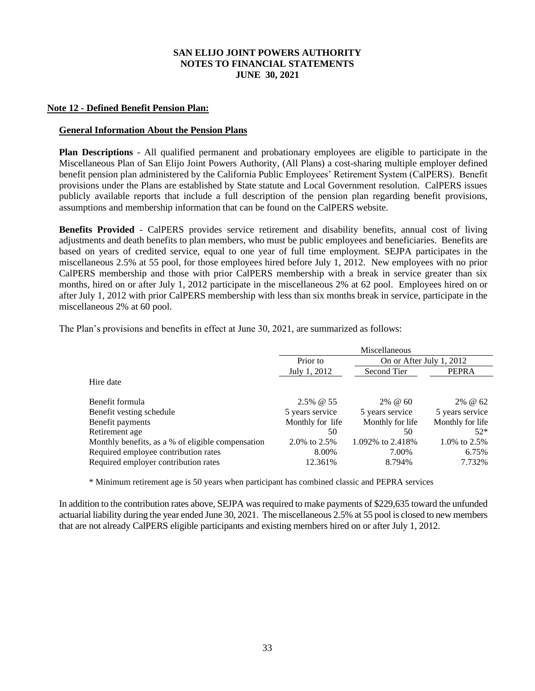### **Note 12 - Defined Benefit Pension Plan:**

### **General Information About the Pension Plans**

**Plan Descriptions** - All qualified permanent and probationary employees are eligible to participate in the Miscellaneous Plan of San Elijo Joint Powers Authority, (All Plans) a cost-sharing multiple employer defined benefit pension plan administered by the California Public Employees' Retirement System (CalPERS). Benefit provisions under the Plans are established by State statute and Local Government resolution. CalPERS issues publicly available reports that include a full description of the pension plan regarding benefit provisions, assumptions and membership information that can be found on the CalPERS website.

**Benefits Provided** - CalPERS provides service retirement and disability benefits, annual cost of living adjustments and death benefits to plan members, who must be public employees and beneficiaries. Benefits are based on years of credited service, equal to one year of full time employment. SEJPA participates in the miscellaneous 2.5% at 55 pool, for those employees hired before July 1, 2012. New employees with no prior CalPERS membership and those with prior CalPERS membership with a break in service greater than six months, hired on or after July 1, 2012 participate in the miscellaneous 2% at 62 pool. Employees hired on or after July 1, 2012 with prior CalPERS membership with less than six months break in service, participate in the miscellaneous 2% at 60 pool.

|                                                   | Miscellaneous    |                          |                  |  |
|---------------------------------------------------|------------------|--------------------------|------------------|--|
|                                                   | Prior to         | On or After July 1, 2012 |                  |  |
|                                                   | July 1, 2012     | Second Tier              | <b>PEPRA</b>     |  |
| Hire date                                         |                  |                          |                  |  |
|                                                   |                  |                          |                  |  |
| Benefit formula                                   | $2.5\%$ @ 55     | $2\%$ @ 60               | 2% @ 62          |  |
| Benefit vesting schedule                          | 5 years service  | 5 years service          | 5 years service  |  |
| Benefit payments                                  | Monthly for life | Monthly for life         | Monthly for life |  |
| Retirement age                                    | 50               | 50                       | $52*$            |  |
| Monthly benefits, as a % of eligible compensation | 2.0% to 2.5%     | 1.092\% to 2.418\%       | 1.0% to 2.5%     |  |
| Required employee contribution rates              | 8.00%            | 7.00%                    | 6.75%            |  |
| Required employer contribution rates              | 12.361%          | 8.794%                   | 7.732%           |  |

The Plan's provisions and benefits in effect at June 30, 2021, are summarized as follows:

\* Minimum retirement age is 50 years when participant has combined classic and PEPRA services

In addition to the contribution rates above, SEJPA was required to make payments of \$229,635 toward the unfunded actuarial liability during the year ended June 30, 2021. The miscellaneous 2.5% at 55 pool is closed to new members that are not already CalPERS eligible participants and existing members hired on or after July 1, 2012.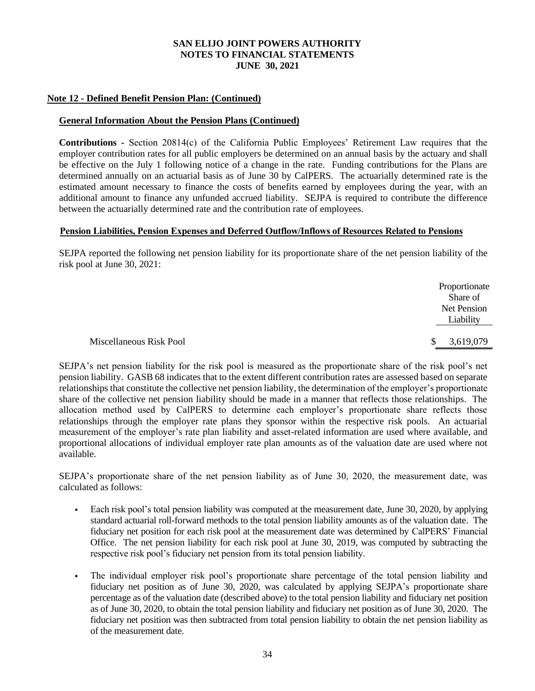# **Note 12 - Defined Benefit Pension Plan: (Continued)**

### **General Information About the Pension Plans (Continued)**

**Contributions** *-* Section 20814(c) of the California Public Employees' Retirement Law requires that the employer contribution rates for all public employers be determined on an annual basis by the actuary and shall be effective on the July 1 following notice of a change in the rate. Funding contributions for the Plans are determined annually on an actuarial basis as of June 30 by CalPERS. The actuarially determined rate is the estimated amount necessary to finance the costs of benefits earned by employees during the year, with an additional amount to finance any unfunded accrued liability. SEJPA is required to contribute the difference between the actuarially determined rate and the contribution rate of employees.

#### **Pension Liabilities, Pension Expenses and Deferred Outflow/Inflows of Resources Related to Pensions**

SEJPA reported the following net pension liability for its proportionate share of the net pension liability of the risk pool at June 30, 2021:

|                         | Proportionate<br>Share of |
|-------------------------|---------------------------|
|                         | Net Pension<br>Liability  |
| Miscellaneous Risk Pool | 3,619,079<br>\$.          |

SEJPA's net pension liability for the risk pool is measured as the proportionate share of the risk pool's net pension liability. GASB 68 indicates that to the extent different contribution rates are assessed based on separate relationships that constitute the collective net pension liability, the determination of the employer's proportionate share of the collective net pension liability should be made in a manner that reflects those relationships. The allocation method used by CalPERS to determine each employer's proportionate share reflects those relationships through the employer rate plans they sponsor within the respective risk pools. An actuarial measurement of the employer's rate plan liability and asset-related information are used where available, and proportional allocations of individual employer rate plan amounts as of the valuation date are used where not available.

SEJPA's proportionate share of the net pension liability as of June 30, 2020, the measurement date, was calculated as follows:

- Each risk pool's total pension liability was computed at the measurement date, June 30, 2020, by applying standard actuarial roll-forward methods to the total pension liability amounts as of the valuation date. The fiduciary net position for each risk pool at the measurement date was determined by CalPERS' Financial Office. The net pension liability for each risk pool at June 30, 2019, was computed by subtracting the respective risk pool's fiduciary net pension from its total pension liability.
- The individual employer risk pool's proportionate share percentage of the total pension liability and fiduciary net position as of June 30, 2020, was calculated by applying SEJPA's proportionate share percentage as of the valuation date (described above) to the total pension liability and fiduciary net position as of June 30, 2020, to obtain the total pension liability and fiduciary net position as of June 30, 2020. The fiduciary net position was then subtracted from total pension liability to obtain the net pension liability as of the measurement date.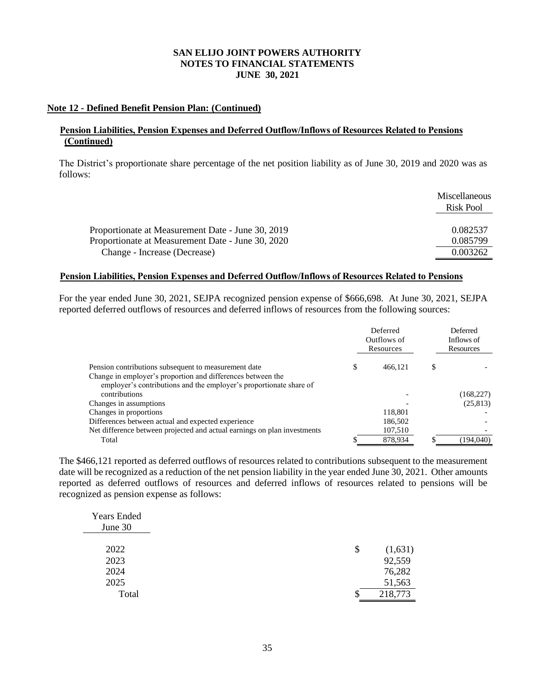# **Note 12 - Defined Benefit Pension Plan: (Continued)**

# **Pension Liabilities, Pension Expenses and Deferred Outflow/Inflows of Resources Related to Pensions (Continued)**

The District's proportionate share percentage of the net position liability as of June 30, 2019 and 2020 was as follows:

|                                                   | <b>Miscellaneous</b><br>Risk Pool |
|---------------------------------------------------|-----------------------------------|
|                                                   |                                   |
| Proportionate at Measurement Date - June 30, 2019 | 0.082537                          |
| Proportionate at Measurement Date - June 30, 2020 | 0.085799                          |
| Change - Increase (Decrease)                      | 0.003262                          |

#### **Pension Liabilities, Pension Expenses and Deferred Outflow/Inflows of Resources Related to Pensions**

For the year ended June 30, 2021, SEJPA recognized pension expense of \$666,698. At June 30, 2021, SEJPA reported deferred outflows of resources and deferred inflows of resources from the following sources:

|                                                                          |   | Deferred<br>Outflows of<br>Resources | Deferred<br>Inflows of<br>Resources |  |
|--------------------------------------------------------------------------|---|--------------------------------------|-------------------------------------|--|
| Pension contributions subsequent to measurement date                     | S | 466.121                              | \$                                  |  |
| Change in employer's proportion and differences between the              |   |                                      |                                     |  |
| employer's contributions and the employer's proportionate share of       |   |                                      |                                     |  |
| contributions                                                            |   |                                      | (168, 227)                          |  |
| Changes in assumptions                                                   |   |                                      | (25, 813)                           |  |
| Changes in proportions                                                   |   | 118.801                              |                                     |  |
| Differences between actual and expected experience                       |   | 186,502                              |                                     |  |
| Net difference between projected and actual earnings on plan investments |   | 107,510                              |                                     |  |
| Total                                                                    |   | 878.934                              | (194.040)                           |  |

The \$466,121 reported as deferred outflows of resources related to contributions subsequent to the measurement date will be recognized as a reduction of the net pension liability in the year ended June 30, 2021. Other amounts reported as deferred outflows of resources and deferred inflows of resources related to pensions will be recognized as pension expense as follows:

| \$<br>(1,631) |
|---------------|
| 92,559        |
| 76,282        |
| 51,563        |
| 218,773       |
|               |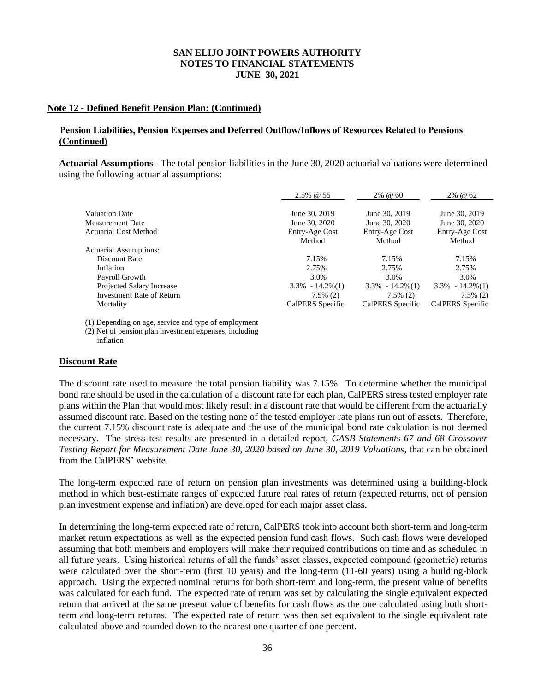# **Note 12 - Defined Benefit Pension Plan: (Continued)**

# **Pension Liabilities, Pension Expenses and Deferred Outflow/Inflows of Resources Related to Pensions (Continued)**

**Actuarial Assumptions** *-* The total pension liabilities in the June 30, 2020 actuarial valuations were determined using the following actuarial assumptions:

|                                                  | 2.5% @ 55                      | 2% @ 60                        | 2% @ 62                        |
|--------------------------------------------------|--------------------------------|--------------------------------|--------------------------------|
| <b>Valuation Date</b><br><b>Measurement Date</b> | June 30, 2019<br>June 30, 2020 | June 30, 2019<br>June 30, 2020 | June 30, 2019<br>June 30, 2020 |
| <b>Actuarial Cost Method</b>                     | Entry-Age Cost<br>Method       | Entry-Age Cost<br>Method       | Entry-Age Cost<br>Method       |
| <b>Actuarial Assumptions:</b>                    |                                |                                |                                |
| Discount Rate                                    | 7.15%                          | 7.15%                          | 7.15%                          |
| Inflation                                        | 2.75%                          | 2.75%                          | 2.75%                          |
| Payroll Growth                                   | 3.0%                           | 3.0%                           | 3.0%                           |
| Projected Salary Increase                        | $3.3\% - 14.2\%(1)$            | $3.3\% - 14.2\%(1)$            | $3.3\% - 14.2\%(1)$            |
| <b>Investment Rate of Return</b>                 | $7.5\%$ (2)                    | $7.5\%$ (2)                    | $7.5\%$ (2)                    |
| Mortality                                        | CalPERS Specific               | CalPERS Specific               | CalPERS Specific               |

(1) Depending on age, service and type of employment

(2) Net of pension plan investment expenses, including inflation

# **Discount Rate**

The discount rate used to measure the total pension liability was 7.15%. To determine whether the municipal bond rate should be used in the calculation of a discount rate for each plan, CalPERS stress tested employer rate plans within the Plan that would most likely result in a discount rate that would be different from the actuarially assumed discount rate. Based on the testing none of the tested employer rate plans run out of assets. Therefore, the current 7.15% discount rate is adequate and the use of the municipal bond rate calculation is not deemed necessary. The stress test results are presented in a detailed report, *GASB Statements 67 and 68 Crossover*  Testing Report for Measurement Date June 30, 2020 based on June 30, 2019 Valuations, that can be obtained from the CalPERS' website.

The long-term expected rate of return on pension plan investments was determined using a building-block method in which best-estimate ranges of expected future real rates of return (expected returns, net of pension plan investment expense and inflation) are developed for each major asset class.

In determining the long-term expected rate of return, CalPERS took into account both short-term and long-term market return expectations as well as the expected pension fund cash flows. Such cash flows were developed assuming that both members and employers will make their required contributions on time and as scheduled in all future years. Using historical returns of all the funds' asset classes, expected compound (geometric) returns were calculated over the short-term (first 10 years) and the long-term (11-60 years) using a building-block approach. Using the expected nominal returns for both short-term and long-term, the present value of benefits was calculated for each fund. The expected rate of return was set by calculating the single equivalent expected return that arrived at the same present value of benefits for cash flows as the one calculated using both shortterm and long-term returns. The expected rate of return was then set equivalent to the single equivalent rate calculated above and rounded down to the nearest one quarter of one percent.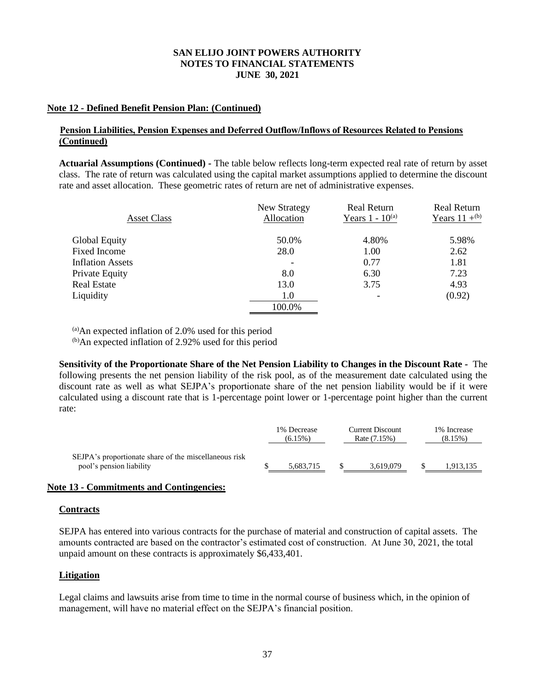# **Note 12 - Defined Benefit Pension Plan: (Continued)**

# **Pension Liabilities, Pension Expenses and Deferred Outflow/Inflows of Resources Related to Pensions (Continued)**

**Actuarial Assumptions (Continued)** *-* The table below reflects long-term expected real rate of return by asset class. The rate of return was calculated using the capital market assumptions applied to determine the discount rate and asset allocation. These geometric rates of return are net of administrative expenses.

| <b>Asset Class</b>      | New Strategy<br>Allocation | <b>Real Return</b><br>Years $1 - 10^{(a)}$ | Real Return<br>Years $11 +$ <sup>(b)</sup> |
|-------------------------|----------------------------|--------------------------------------------|--------------------------------------------|
| <b>Global Equity</b>    | 50.0%                      | 4.80%                                      | 5.98%                                      |
| Fixed Income            | 28.0                       | 1.00                                       | 2.62                                       |
| <b>Inflation Assets</b> |                            | 0.77                                       | 1.81                                       |
| Private Equity          | 8.0                        | 6.30                                       | 7.23                                       |
| Real Estate             | 13.0                       | 3.75                                       | 4.93                                       |
| Liquidity               | 1.0                        |                                            | (0.92)                                     |
|                         | 100.0%                     |                                            |                                            |

 $(a)$ An expected inflation of 2.0% used for this period

(b)An expected inflation of 2.92% used for this period

**Sensitivity of the Proportionate Share of the Net Pension Liability to Changes in the Discount Rate** *-* The following presents the net pension liability of the risk pool, as of the measurement date calculated using the discount rate as well as what SEJPA's proportionate share of the net pension liability would be if it were calculated using a discount rate that is 1-percentage point lower or 1-percentage point higher than the current rate:

|                                                                                   | 1% Decrease<br>$(6.15\%)$ | <b>Current Discount</b><br>Rate (7.15%) | 1% Increase<br>(8.15%) |
|-----------------------------------------------------------------------------------|---------------------------|-----------------------------------------|------------------------|
| SEJPA's proportionate share of the miscellaneous risk<br>pool's pension liability | 5.683.715                 | 3.619.079                               | 1,913,135              |

# **Note 13 - Commitments and Contingencies:**

#### **Contracts**

SEJPA has entered into various contracts for the purchase of material and construction of capital assets. The amounts contracted are based on the contractor's estimated cost of construction. At June 30, 2021, the total unpaid amount on these contracts is approximately \$6,433,401.

# **Litigation**

Legal claims and lawsuits arise from time to time in the normal course of business which, in the opinion of management, will have no material effect on the SEJPA's financial position.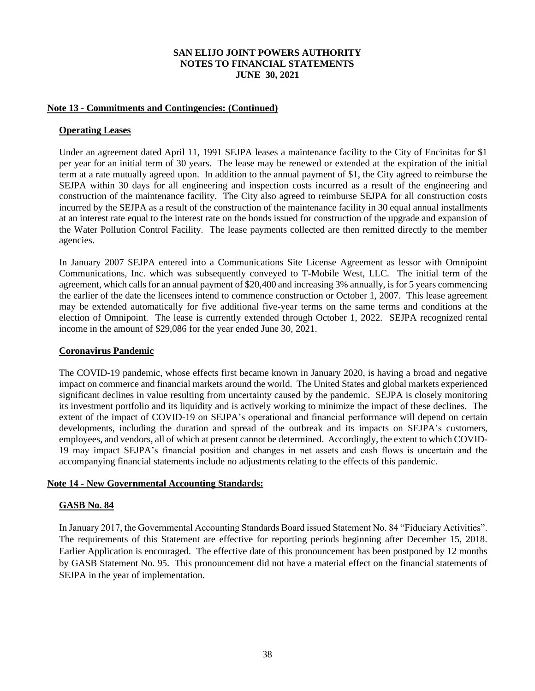# **Note 13 - Commitments and Contingencies: (Continued)**

### **Operating Leases**

Under an agreement dated April 11, 1991 SEJPA leases a maintenance facility to the City of Encinitas for \$1 per year for an initial term of 30 years. The lease may be renewed or extended at the expiration of the initial term at a rate mutually agreed upon. In addition to the annual payment of \$1, the City agreed to reimburse the SEJPA within 30 days for all engineering and inspection costs incurred as a result of the engineering and construction of the maintenance facility. The City also agreed to reimburse SEJPA for all construction costs incurred by the SEJPA as a result of the construction of the maintenance facility in 30 equal annual installments at an interest rate equal to the interest rate on the bonds issued for construction of the upgrade and expansion of the Water Pollution Control Facility. The lease payments collected are then remitted directly to the member agencies.

In January 2007 SEJPA entered into a Communications Site License Agreement as lessor with Omnipoint Communications, Inc. which was subsequently conveyed to T-Mobile West, LLC. The initial term of the agreement, which calls for an annual payment of \$20,400 and increasing 3% annually, is for 5 years commencing the earlier of the date the licensees intend to commence construction or October 1, 2007. This lease agreement may be extended automatically for five additional five-year terms on the same terms and conditions at the election of Omnipoint. The lease is currently extended through October 1, 2022. SEJPA recognized rental income in the amount of \$29,086 for the year ended June 30, 2021.

#### **Coronavirus Pandemic**

The COVID-19 pandemic, whose effects first became known in January 2020, is having a broad and negative impact on commerce and financial markets around the world. The United States and global markets experienced significant declines in value resulting from uncertainty caused by the pandemic. SEJPA is closely monitoring its investment portfolio and its liquidity and is actively working to minimize the impact of these declines. The extent of the impact of COVID-19 on SEJPA's operational and financial performance will depend on certain developments, including the duration and spread of the outbreak and its impacts on SEJPA's customers, employees, and vendors, all of which at present cannot be determined. Accordingly, the extent to which COVID-19 may impact SEJPA's financial position and changes in net assets and cash flows is uncertain and the accompanying financial statements include no adjustments relating to the effects of this pandemic.

#### **Note 14 - New Governmental Accounting Standards:**

# **GASB No. 84**

In January 2017, the Governmental Accounting Standards Board issued Statement No. 84 "Fiduciary Activities". The requirements of this Statement are effective for reporting periods beginning after December 15, 2018. Earlier Application is encouraged. The effective date of this pronouncement has been postponed by 12 months by GASB Statement No. 95. This pronouncement did not have a material effect on the financial statements of SEJPA in the year of implementation.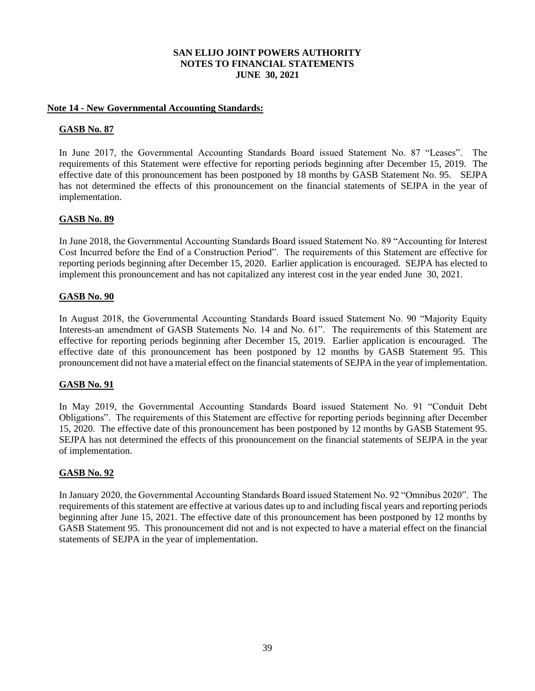### **Note 14 - New Governmental Accounting Standards:**

### **GASB No. 87**

In June 2017, the Governmental Accounting Standards Board issued Statement No. 87 "Leases". The requirements of this Statement were effective for reporting periods beginning after December 15, 2019. The effective date of this pronouncement has been postponed by 18 months by GASB Statement No. 95. SEJPA has not determined the effects of this pronouncement on the financial statements of SEJPA in the year of implementation.

### **GASB No. 89**

In June 2018, the Governmental Accounting Standards Board issued Statement No. 89 "Accounting for Interest Cost Incurred before the End of a Construction Period". The requirements of this Statement are effective for reporting periods beginning after December 15, 2020. Earlier application is encouraged. SEJPA has elected to implement this pronouncement and has not capitalized any interest cost in the year ended June 30, 2021.

### **GASB No. 90**

In August 2018, the Governmental Accounting Standards Board issued Statement No. 90 "Majority Equity Interests-an amendment of GASB Statements No. 14 and No. 61". The requirements of this Statement are effective for reporting periods beginning after December 15, 2019. Earlier application is encouraged. The effective date of this pronouncement has been postponed by 12 months by GASB Statement 95. This pronouncement did not have a material effect on the financial statements of SEJPA in the year of implementation.

#### **GASB No. 91**

In May 2019, the Governmental Accounting Standards Board issued Statement No. 91 "Conduit Debt Obligations". The requirements of this Statement are effective for reporting periods beginning after December 15, 2020. The effective date of this pronouncement has been postponed by 12 months by GASB Statement 95. SEJPA has not determined the effects of this pronouncement on the financial statements of SEJPA in the year of implementation.

# **GASB No. 92**

In January 2020, the Governmental Accounting Standards Board issued Statement No. 92 "Omnibus 2020". The requirements of this statement are effective at various dates up to and including fiscal years and reporting periods beginning after June 15, 2021. The effective date of this pronouncement has been postponed by 12 months by GASB Statement 95. This pronouncement did not and is not expected to have a material effect on the financial statements of SEJPA in the year of implementation.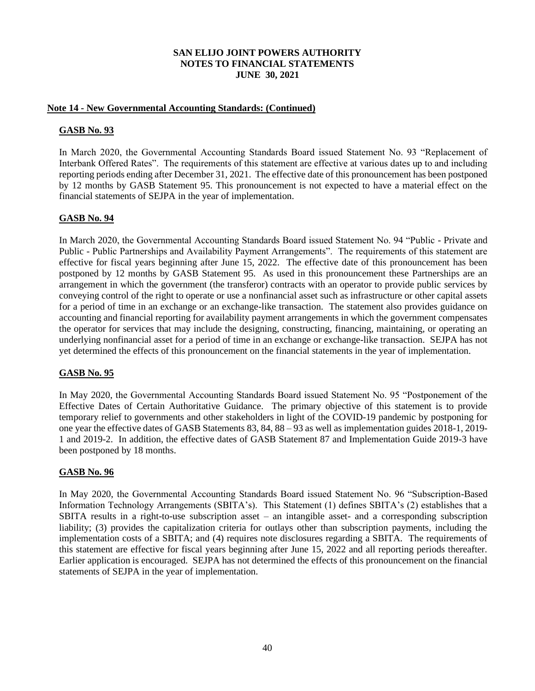### **Note 14 - New Governmental Accounting Standards: (Continued)**

# **GASB No. 93**

In March 2020, the Governmental Accounting Standards Board issued Statement No. 93 "Replacement of Interbank Offered Rates". The requirements of this statement are effective at various dates up to and including reporting periods ending after December 31, 2021. The effective date of this pronouncement has been postponed by 12 months by GASB Statement 95. This pronouncement is not expected to have a material effect on the financial statements of SEJPA in the year of implementation.

# **GASB No. 94**

In March 2020, the Governmental Accounting Standards Board issued Statement No. 94 "Public - Private and Public - Public Partnerships and Availability Payment Arrangements". The requirements of this statement are effective for fiscal years beginning after June 15, 2022. The effective date of this pronouncement has been postponed by 12 months by GASB Statement 95. As used in this pronouncement these Partnerships are an arrangement in which the government (the transferor) contracts with an operator to provide public services by conveying control of the right to operate or use a nonfinancial asset such as infrastructure or other capital assets for a period of time in an exchange or an exchange-like transaction. The statement also provides guidance on accounting and financial reporting for availability payment arrangements in which the government compensates the operator for services that may include the designing, constructing, financing, maintaining, or operating an underlying nonfinancial asset for a period of time in an exchange or exchange-like transaction. SEJPA has not yet determined the effects of this pronouncement on the financial statements in the year of implementation.

# **GASB No. 95**

In May 2020, the Governmental Accounting Standards Board issued Statement No. 95 "Postponement of the Effective Dates of Certain Authoritative Guidance. The primary objective of this statement is to provide temporary relief to governments and other stakeholders in light of the COVID-19 pandemic by postponing for one year the effective dates of GASB Statements 83, 84, 88 – 93 as well as implementation guides 2018-1, 2019- 1 and 2019-2. In addition, the effective dates of GASB Statement 87 and Implementation Guide 2019-3 have been postponed by 18 months.

# **GASB No. 96**

In May 2020, the Governmental Accounting Standards Board issued Statement No. 96 "Subscription-Based Information Technology Arrangements (SBITA's). This Statement (1) defines SBITA's (2) establishes that a SBITA results in a right-to-use subscription asset – an intangible asset- and a corresponding subscription liability; (3) provides the capitalization criteria for outlays other than subscription payments, including the implementation costs of a SBITA; and (4) requires note disclosures regarding a SBITA. The requirements of this statement are effective for fiscal years beginning after June 15, 2022 and all reporting periods thereafter. Earlier application is encouraged. SEJPA has not determined the effects of this pronouncement on the financial statements of SEJPA in the year of implementation.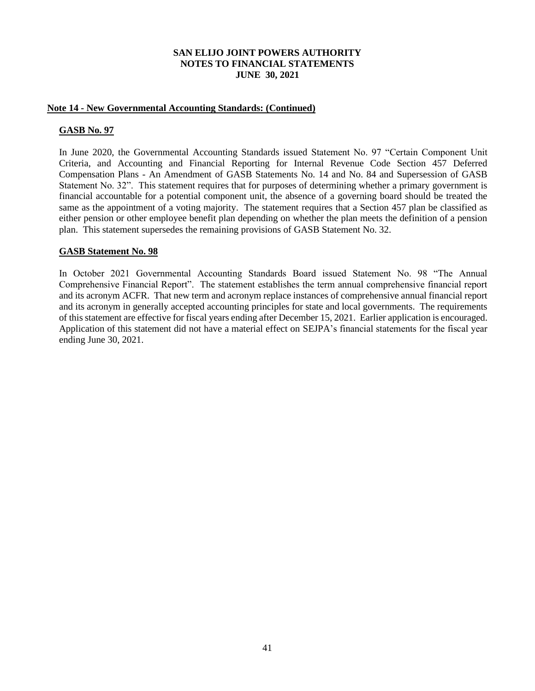### **Note 14 - New Governmental Accounting Standards: (Continued)**

### **GASB No. 97**

In June 2020, the Governmental Accounting Standards issued Statement No. 97 "Certain Component Unit Criteria, and Accounting and Financial Reporting for Internal Revenue Code Section 457 Deferred Compensation Plans - An Amendment of GASB Statements No. 14 and No. 84 and Supersession of GASB Statement No. 32". This statement requires that for purposes of determining whether a primary government is financial accountable for a potential component unit, the absence of a governing board should be treated the same as the appointment of a voting majority. The statement requires that a Section 457 plan be classified as either pension or other employee benefit plan depending on whether the plan meets the definition of a pension plan. This statement supersedes the remaining provisions of GASB Statement No. 32.

### **GASB Statement No. 98**

In October 2021 Governmental Accounting Standards Board issued Statement No. 98 "The Annual Comprehensive Financial Report". The statement establishes the term annual comprehensive financial report and its acronym ACFR. That new term and acronym replace instances of comprehensive annual financial report and its acronym in generally accepted accounting principles for state and local governments. The requirements of this statement are effective for fiscal years ending after December 15, 2021. Earlier application is encouraged. Application of this statement did not have a material effect on SEJPA's financial statements for the fiscal year ending June 30, 2021.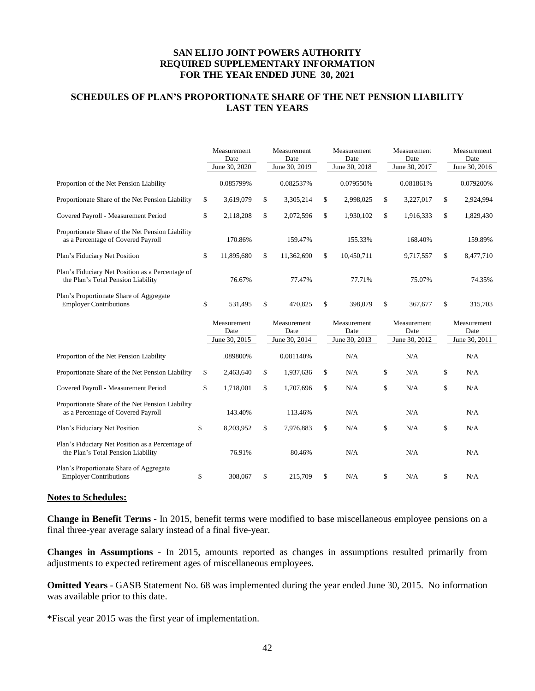# **SCHEDULES OF PLAN'S PROPORTIONATE SHARE OF THE NET PENSION LIABILITY LAST TEN YEARS**

|                                                                                        | Measurement<br>Date<br>June 30, 2020 |    | Measurement<br>Date<br>June 30, 2019 |    | Measurement<br>Date<br>June 30, 2018 |    | Measurement<br>Date<br>June 30, 2017 | Measurement<br>Date<br>June 30, 2016 |
|----------------------------------------------------------------------------------------|--------------------------------------|----|--------------------------------------|----|--------------------------------------|----|--------------------------------------|--------------------------------------|
| Proportion of the Net Pension Liability                                                | 0.085799%                            |    | 0.082537%                            |    | 0.079550%                            |    | 0.081861%                            | 0.079200%                            |
| Proportionate Share of the Net Pension Liability                                       | \$<br>3,619,079                      | \$ | 3,305,214                            | \$ | 2,998,025                            | \$ | 3,227,017                            | \$<br>2,924,994                      |
| Covered Payroll - Measurement Period                                                   | \$<br>2,118,208                      | \$ | 2,072,596                            | \$ | 1,930,102                            | \$ | 1,916,333                            | \$<br>1,829,430                      |
| Proportionate Share of the Net Pension Liability<br>as a Percentage of Covered Payroll | 170.86%                              |    | 159.47%                              |    | 155.33%                              |    | 168.40%                              | 159.89%                              |
| Plan's Fiduciary Net Position                                                          | \$<br>11,895,680                     | \$ | 11,362,690                           | \$ | 10,450,711                           |    | 9,717,557                            | \$<br>8,477,710                      |
| Plan's Fiduciary Net Position as a Percentage of<br>the Plan's Total Pension Liability | 76.67%                               |    | 77.47%                               |    | 77.71%                               |    | 75.07%                               | 74.35%                               |
| Plan's Proportionate Share of Aggregate<br><b>Employer Contributions</b>               | \$<br>531,495                        | \$ | 470,825                              | \$ | 398,079                              | \$ | 367,677                              | \$<br>315,703                        |
|                                                                                        | Measurement<br>Date<br>June 30, 2015 |    | Measurement<br>Date<br>June 30, 2014 |    | Measurement<br>Date<br>June 30, 2013 |    | Measurement<br>Date<br>June 30, 2012 | Measurement<br>Date<br>June 30, 2011 |
| Proportion of the Net Pension Liability                                                | .089800%                             |    | 0.081140%                            |    | N/A                                  |    | N/A                                  | N/A                                  |
| Proportionate Share of the Net Pension Liability                                       | \$<br>2,463,640                      | \$ | 1,937,636                            | \$ | N/A                                  | \$ | N/A                                  | \$<br>N/A                            |
| Covered Payroll - Measurement Period                                                   | \$<br>1,718,001                      | \$ | 1,707,696                            | \$ | N/A                                  | \$ | N/A                                  | \$<br>N/A                            |
| Proportionate Share of the Net Pension Liability<br>as a Percentage of Covered Payroll | 143.40%                              |    | 113.46%                              |    | N/A                                  |    | N/A                                  | N/A                                  |
| Plan's Fiduciary Net Position                                                          | \$<br>8,203,952                      | \$ | 7.976.883                            | \$ | N/A                                  | \$ | N/A                                  | \$<br>N/A                            |
| Plan's Fiduciary Net Position as a Percentage of<br>the Plan's Total Pension Liability | 76.91%                               |    | 80.46%                               |    | N/A                                  |    | N/A                                  | N/A                                  |
| Plan's Proportionate Share of Aggregate<br><b>Employer Contributions</b>               | \$<br>308,067                        | \$ | 215,709                              | \$ | N/A                                  | \$ | N/A                                  | \$<br>N/A                            |

#### **Notes to Schedules:**

**Change in Benefit Terms -** In 2015, benefit terms were modified to base miscellaneous employee pensions on a final three-year average salary instead of a final five-year.

**Changes in Assumptions -** In 2015, amounts reported as changes in assumptions resulted primarily from adjustments to expected retirement ages of miscellaneous employees.

**Omitted Years** - GASB Statement No. 68 was implemented during the year ended June 30, 2015. No information was available prior to this date.

\*Fiscal year 2015 was the first year of implementation.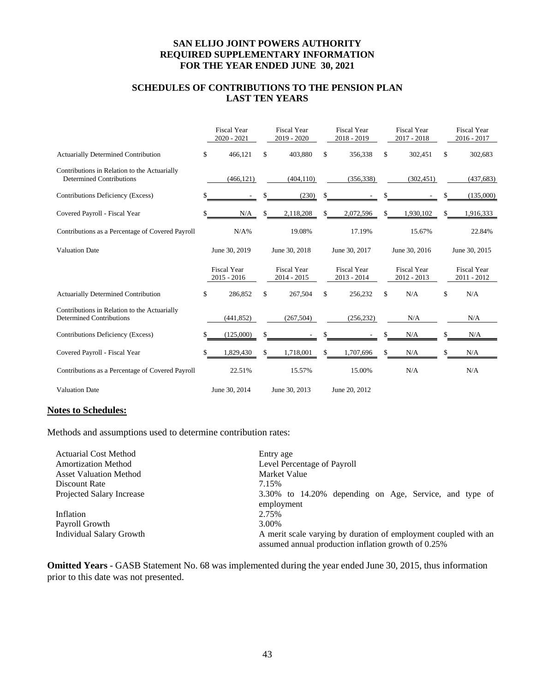# **SCHEDULES OF CONTRIBUTIONS TO THE PENSION PLAN LAST TEN YEARS**

|                                                                                 |    | <b>Fiscal Year</b><br>$2020 - 2021$ |    | <b>Fiscal Year</b><br>2019 - 2020   |    | <b>Fiscal Year</b><br>2018 - 2019   |    | <b>Fiscal Year</b><br>$2017 - 2018$ |    | <b>Fiscal Year</b><br>$2016 - 2017$ |  |
|---------------------------------------------------------------------------------|----|-------------------------------------|----|-------------------------------------|----|-------------------------------------|----|-------------------------------------|----|-------------------------------------|--|
| <b>Actuarially Determined Contribution</b>                                      | \$ | 466,121                             | \$ | 403,880                             | \$ | 356,338                             | \$ | 302,451                             | \$ | 302,683                             |  |
| Contributions in Relation to the Actuarially<br><b>Determined Contributions</b> |    | (466, 121)                          |    | (404, 110)                          |    | (356, 338)                          |    | (302, 451)                          |    | (437, 683)                          |  |
| Contributions Deficiency (Excess)                                               |    |                                     |    | (230)                               | \$ |                                     |    |                                     |    | (135,000)                           |  |
| Covered Payroll - Fiscal Year                                                   | S  | N/A                                 | \$ | 2,118,208                           | \$ | 2,072,596                           | \$ | 1,930,102                           | \$ | 1,916,333                           |  |
| Contributions as a Percentage of Covered Payroll                                |    | $N/A\%$                             |    | 19.08%                              |    | 17.19%                              |    | 15.67%                              |    | 22.84%                              |  |
| <b>Valuation Date</b>                                                           |    | June 30, 2019                       |    | June 30, 2018                       |    | June 30, 2017                       |    | June 30, 2016                       |    | June 30, 2015                       |  |
|                                                                                 |    | <b>Fiscal Year</b><br>$2015 - 2016$ |    | <b>Fiscal Year</b><br>$2014 - 2015$ |    | <b>Fiscal Year</b><br>$2013 - 2014$ |    | <b>Fiscal Year</b><br>2012 - 2013   |    | <b>Fiscal Year</b><br>2011 - 2012   |  |
| <b>Actuarially Determined Contribution</b>                                      | \$ | 286,852                             | \$ | 267,504                             | \$ | 256,232                             | \$ | N/A                                 | \$ | N/A                                 |  |
| Contributions in Relation to the Actuarially<br><b>Determined Contributions</b> |    | (441, 852)                          |    | (267, 504)                          |    | (256, 232)                          |    | N/A                                 |    | N/A                                 |  |
|                                                                                 |    |                                     |    |                                     |    |                                     |    |                                     |    | N/A                                 |  |
| Contributions Deficiency (Excess)                                               |    | (125,000)                           | \$ |                                     |    |                                     |    | N/A                                 | \$ |                                     |  |
| Covered Payroll - Fiscal Year                                                   |    | 1,829,430                           | \$ | 1,718,001                           | \$ | 1,707,696                           |    | N/A                                 | \$ | N/A                                 |  |
| Contributions as a Percentage of Covered Payroll                                |    | 22.51%                              |    | 15.57%                              |    | 15.00%                              |    | N/A                                 |    | N/A                                 |  |

#### **Notes to Schedules:**

Methods and assumptions used to determine contribution rates:

| <b>Actuarial Cost Method</b>    | Entry age                                                       |  |  |  |  |  |  |  |  |
|---------------------------------|-----------------------------------------------------------------|--|--|--|--|--|--|--|--|
| <b>Amortization Method</b>      | Level Percentage of Payroll                                     |  |  |  |  |  |  |  |  |
| <b>Asset Valuation Method</b>   | Market Value                                                    |  |  |  |  |  |  |  |  |
| Discount Rate                   | 7.15%                                                           |  |  |  |  |  |  |  |  |
| Projected Salary Increase       | 3.30% to 14.20% depending on Age, Service, and type of          |  |  |  |  |  |  |  |  |
|                                 | employment                                                      |  |  |  |  |  |  |  |  |
| Inflation                       | 2.75%                                                           |  |  |  |  |  |  |  |  |
| Payroll Growth                  | 3.00%                                                           |  |  |  |  |  |  |  |  |
| <b>Individual Salary Growth</b> | A merit scale varying by duration of employment coupled with an |  |  |  |  |  |  |  |  |
|                                 | assumed annual production inflation growth of 0.25%             |  |  |  |  |  |  |  |  |

**Omitted Years** - GASB Statement No. 68 was implemented during the year ended June 30, 2015, thus information prior to this date was not presented.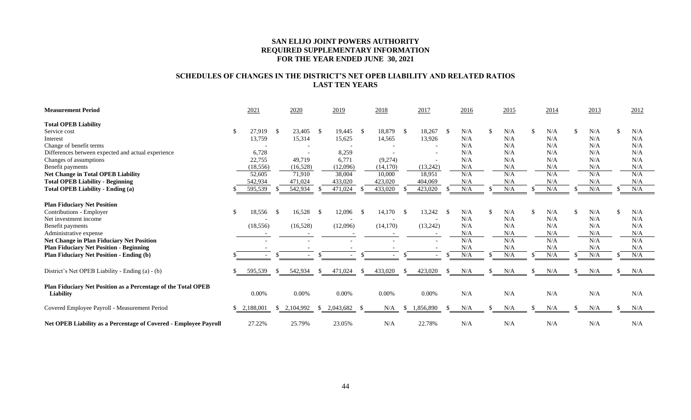# **SCHEDULES OF CHANGES IN THE DISTRICT'S NET OPEB LIABILITY AND RELATED RATIOS LAST TEN YEARS**

| <b>Measurement Period</b>                                                  |               | 2021      |               | 2020      |      | 2019      |      | 2018      |          | 2017                     |               | 2016 |   | 2015 |     | 2014 |               | 2013 | 2012      |  |
|----------------------------------------------------------------------------|---------------|-----------|---------------|-----------|------|-----------|------|-----------|----------|--------------------------|---------------|------|---|------|-----|------|---------------|------|-----------|--|
| <b>Total OPEB Liability</b>                                                |               |           |               |           |      |           |      |           |          |                          |               |      |   |      |     |      |               |      |           |  |
| Service cost                                                               | $\mathcal{S}$ | 27,919    | - \$          | 23,405    | - \$ | 19,445    | -S   | 18,879    | - \$     | 18,267                   | - \$          | N/A  |   | N/A  |     | N/A  | £.            | N/A  | N/A       |  |
| Interest                                                                   |               | 13,759    |               | 15,314    |      | 15,625    |      | 14,565    |          | 13,926                   |               | N/A  |   | N/A  |     | N/A  |               | N/A  | N/A       |  |
| Change of benefit terms                                                    |               |           |               |           |      |           |      |           |          | $\overline{\phantom{a}}$ |               | N/A  |   | N/A  |     | N/A  |               | N/A  | N/A       |  |
| Differences between expected and actual experience                         |               | 6,728     |               |           |      | 8,259     |      |           |          | $\overline{\phantom{a}}$ |               | N/A  |   | N/A  |     | N/A  |               | N/A  | N/A       |  |
| Changes of assumptions                                                     |               | 22,755    |               | 49,719    |      | 6,771     |      | (9,274)   |          |                          |               | N/A  |   | N/A  |     | N/A  |               | N/A  | N/A       |  |
| Benefit payments                                                           |               | (18, 556) |               | (16,528)  |      | (12,096)  |      | (14, 170) |          | (13,242)                 |               | N/A  |   | N/A  |     | N/A  |               | N/A  | N/A       |  |
| <b>Net Change in Total OPEB Liability</b>                                  |               | 52,605    |               | 71,910    |      | 38,004    |      | 10.000    |          | 18,951                   |               | N/A  |   | N/A  |     | N/A  |               | N/A  | N/A       |  |
| <b>Total OPEB Liability - Beginning</b>                                    |               | 542,934   |               | 471,024   |      | 433,020   |      | 423,020   |          | 404,069                  |               | N/A  |   | N/A  |     | N/A  |               | N/A  | N/A       |  |
| <b>Total OPEB Liability - Ending (a)</b>                                   |               | 595,539   |               | 542,934   |      | 471,024   |      | 433,020   |          | 423,020                  | £.            | N/A  |   | N/A  |     | N/A  |               | N/A  | N/A       |  |
| <b>Plan Fiduciary Net Position</b>                                         |               |           |               |           |      |           |      |           |          |                          |               |      |   |      |     |      |               |      |           |  |
| Contributions - Employer                                                   | \$            | 18,556    | - \$          | 16,528    | - S  | 12,096    | - \$ | 14,170    | -S       | 13,242                   | - \$          | N/A  | S | N/A  | \$. | N/A  | <sup>\$</sup> | N/A  | \$<br>N/A |  |
| Net investment income                                                      |               |           |               |           |      |           |      |           |          |                          |               | N/A  |   | N/A  |     | N/A  |               | N/A  | N/A       |  |
| Benefit payments                                                           |               | (18, 556) |               | (16, 528) |      | (12,096)  |      | (14,170)  |          | (13,242)                 |               | N/A  |   | N/A  |     | N/A  |               | N/A  | N/A       |  |
| Administrative expense                                                     |               |           |               |           |      |           |      |           |          |                          |               | N/A  |   | N/A  |     | N/A  |               | N/A  | N/A       |  |
| Net Change in Plan Fiduciary Net Position                                  |               |           |               |           |      |           |      |           |          |                          |               | N/A  |   | N/A  |     | N/A  |               | N/A  | N/A       |  |
| <b>Plan Fiduciary Net Position - Beginning</b>                             |               |           |               |           |      |           |      |           |          |                          |               | N/A  |   | N/A  |     | N/A  |               | N/A  | N/A       |  |
| <b>Plan Fiduciary Net Position - Ending (b)</b>                            |               |           |               |           |      |           |      |           |          |                          |               | N/A  |   | N/A  |     | N/A  |               | N/A  | N/A       |  |
| District's Net OPEB Liability - Ending (a) - (b)                           |               | 595,539   |               | 542,934   |      | 471,024   | \$.  | 433,020   | <b>S</b> | 423,020                  | <sup>\$</sup> | N/A  |   | N/A  | \$  | N/A  | <sup>\$</sup> | N/A  | \$<br>N/A |  |
| Plan Fiduciary Net Position as a Percentage of the Total OPEB<br>Liability |               | 0.00%     |               | 0.00%     |      | 0.00%     |      | $0.00\%$  |          | 0.00%                    |               | N/A  |   | N/A  |     | N/A  |               | N/A  | N/A       |  |
| Covered Employee Payroll - Measurement Period                              | S             | 2,188,001 | <sup>\$</sup> | 2,104,992 | -SS  | 2,043,682 | - \$ | N/A       | S.       | 1,856,890                | -S            | N/A  |   | N/A  |     | N/A  |               | N/A  | N/A       |  |
| Net OPEB Liability as a Percentage of Covered - Employee Payroll           |               | 27.22%    |               | 25.79%    |      | 23.05%    |      | N/A       |          | 22.78%                   |               | N/A  |   | N/A  |     | N/A  |               | N/A  | N/A       |  |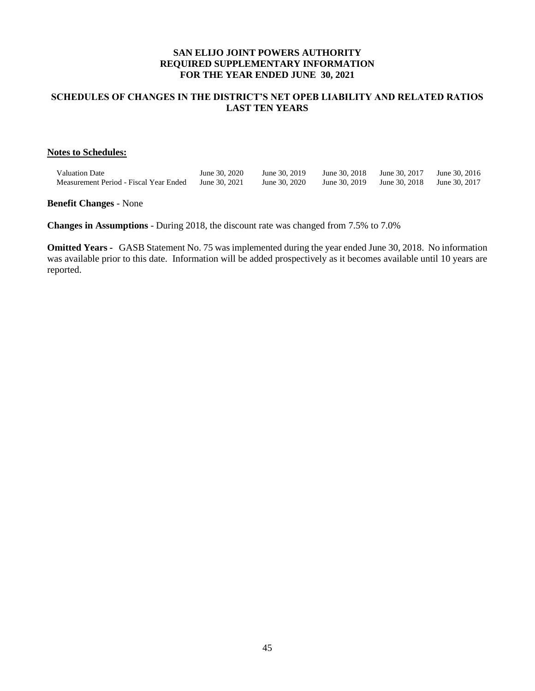# **SCHEDULES OF CHANGES IN THE DISTRICT'S NET OPEB LIABILITY AND RELATED RATIOS LAST TEN YEARS**

### **Notes to Schedules:**

| <b>Valuation Date</b>                  | June 30, 2020 | June 30, 2019                                           | June 30, 2018 June 30, 2017 June 30, 2016 |  |
|----------------------------------------|---------------|---------------------------------------------------------|-------------------------------------------|--|
| Measurement Period - Fiscal Year Ended | June 30, 2021 | June 30, 2020 June 30, 2019 June 30, 2018 June 30, 2017 |                                           |  |

**Benefit Changes** - None

**Changes in Assumptions** - During 2018, the discount rate was changed from 7.5% to 7.0%

**Omitted Years -** GASB Statement No. 75 was implemented during the year ended June 30, 2018. No information was available prior to this date. Information will be added prospectively as it becomes available until 10 years are reported.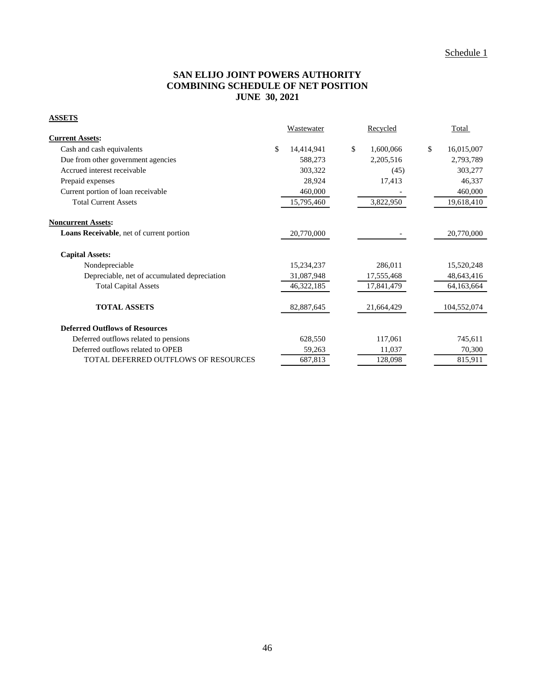# **SAN ELIJO JOINT POWERS AUTHORITY COMBINING SCHEDULE OF NET POSITION JUNE 30, 2021**

# **ASSETS**

|                                                 | <b>Wastewater</b> | Recycled        | Total            |
|-------------------------------------------------|-------------------|-----------------|------------------|
| <b>Current Assets:</b>                          |                   |                 |                  |
| Cash and cash equivalents                       | \$<br>14,414,941  | \$<br>1,600,066 | \$<br>16,015,007 |
| Due from other government agencies              | 588,273           | 2,205,516       | 2,793,789        |
| Accrued interest receivable                     | 303,322           | (45)            | 303,277          |
| Prepaid expenses                                | 28,924            | 17,413          | 46,337           |
| Current portion of loan receivable              | 460,000           |                 | 460,000          |
| <b>Total Current Assets</b>                     | 15,795,460        | 3,822,950       | 19,618,410       |
| <b>Noncurrent Assets:</b>                       |                   |                 |                  |
| <b>Loans Receivable, net of current portion</b> | 20,770,000        |                 | 20,770,000       |
| <b>Capital Assets:</b>                          |                   |                 |                  |
| Nondepreciable                                  | 15,234,237        | 286,011         | 15,520,248       |
| Depreciable, net of accumulated depreciation    | 31,087,948        | 17,555,468      | 48,643,416       |
| <b>Total Capital Assets</b>                     | 46,322,185        | 17,841,479      | 64,163,664       |
| <b>TOTAL ASSETS</b>                             | 82,887,645        | 21,664,429      | 104,552,074      |
| <b>Deferred Outflows of Resources</b>           |                   |                 |                  |
| Deferred outflows related to pensions           | 628,550           | 117,061         | 745,611          |
| Deferred outflows related to OPEB               | 59,263            | 11,037          | 70,300           |
| <b>TOTAL DEFERRED OUTFLOWS OF RESOURCES</b>     | 687,813           | 128,098         | 815,911          |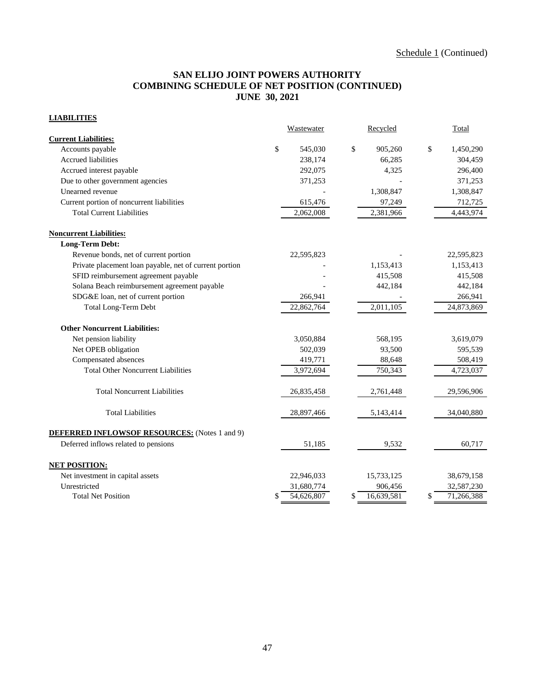# **SAN ELIJO JOINT POWERS AUTHORITY COMBINING SCHEDULE OF NET POSITION (CONTINUED) JUNE 30, 2021**

# **LIABILITIES**

|                                                        | Wastewater       | Recycled               | Total           |
|--------------------------------------------------------|------------------|------------------------|-----------------|
| <b>Current Liabilities:</b>                            |                  |                        |                 |
| Accounts payable                                       | \$<br>545,030    | \$<br>905,260          | \$<br>1,450,290 |
| <b>Accrued liabilities</b>                             | 238,174          | 66,285                 | 304,459         |
| Accrued interest payable                               | 292,075          | 4,325                  | 296,400         |
| Due to other government agencies                       | 371,253          |                        | 371,253         |
| Unearned revenue                                       |                  | 1,308,847              | 1,308,847       |
| Current portion of noncurrent liabilities              | 615,476          | 97,249                 | 712,725         |
| <b>Total Current Liabilities</b>                       | 2,062,008        | 2,381,966              | 4,443,974       |
| <b>Noncurrent Liabilities:</b>                         |                  |                        |                 |
| <b>Long-Term Debt:</b>                                 |                  |                        |                 |
| Revenue bonds, net of current portion                  | 22,595,823       |                        | 22,595,823      |
| Private placement loan payable, net of current portion |                  | 1,153,413              | 1,153,413       |
| SFID reimbursement agreement payable                   |                  | 415,508                | 415,508         |
| Solana Beach reimbursement agreement payable           |                  | 442,184                | 442,184         |
| SDG&E loan, net of current portion                     | 266,941          |                        | 266,941         |
| Total Long-Term Debt                                   | 22,862,764       | $\overline{2,}011,105$ | 24,873,869      |
| <b>Other Noncurrent Liabilities:</b>                   |                  |                        |                 |
| Net pension liability                                  | 3,050,884        | 568,195                | 3,619,079       |
| Net OPEB obligation                                    | 502,039          | 93,500                 | 595,539         |
| Compensated absences                                   | 419,771          | 88,648                 | 508,419         |
| <b>Total Other Noncurrent Liabilities</b>              | 3,972,694        | 750,343                | 4,723,037       |
| <b>Total Noncurrent Liabilities</b>                    | 26,835,458       | 2,761,448              | 29,596,906      |
| <b>Total Liabilities</b>                               | 28,897,466       | 5,143,414              | 34,040,880      |
| <b>DEFERRED INFLOWSOF RESOURCES:</b> (Notes 1 and 9)   |                  |                        |                 |
| Deferred inflows related to pensions                   | 51,185           | 9,532                  | 60.717          |
| <b>NET POSITION:</b>                                   |                  |                        |                 |
| Net investment in capital assets                       | 22,946,033       | 15,733,125             | 38,679,158      |
| Unrestricted                                           | 31,680,774       | 906,456                | 32,587,230      |
| <b>Total Net Position</b>                              | \$<br>54,626,807 | \$<br>16,639,581       | 71,266,388      |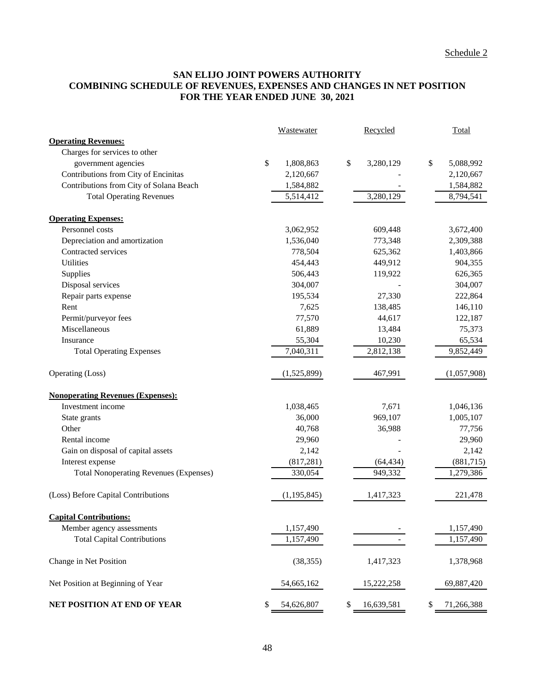# **SAN ELIJO JOINT POWERS AUTHORITY COMBINING SCHEDULE OF REVENUES, EXPENSES AND CHANGES IN NET POSITION FOR THE YEAR ENDED JUNE 30, 2021**

|                                               | Wastewater       | Recycled            | Total           |
|-----------------------------------------------|------------------|---------------------|-----------------|
| <b>Operating Revenues:</b>                    |                  |                     |                 |
| Charges for services to other                 |                  |                     |                 |
| government agencies                           | \$<br>1,808,863  | $\$\,$<br>3,280,129 | \$<br>5,088,992 |
| Contributions from City of Encinitas          | 2,120,667        |                     | 2,120,667       |
| Contributions from City of Solana Beach       | 1,584,882        |                     | 1,584,882       |
| <b>Total Operating Revenues</b>               | 5,514,412        | 3,280,129           | 8,794,541       |
| <b>Operating Expenses:</b>                    |                  |                     |                 |
| Personnel costs                               | 3,062,952        | 609,448             | 3,672,400       |
| Depreciation and amortization                 | 1,536,040        | 773,348             | 2,309,388       |
| Contracted services                           | 778,504          | 625,362             | 1,403,866       |
| Utilities                                     | 454,443          | 449,912             | 904,355         |
| Supplies                                      | 506,443          | 119,922             | 626,365         |
| Disposal services                             | 304,007          |                     | 304,007         |
| Repair parts expense                          | 195,534          | 27,330              | 222,864         |
| Rent                                          | 7,625            | 138,485             | 146,110         |
| Permit/purveyor fees                          | 77,570           | 44,617              | 122,187         |
| Miscellaneous                                 | 61,889           | 13,484              | 75,373          |
| Insurance                                     | 55,304           | 10,230              | 65,534          |
| <b>Total Operating Expenses</b>               | 7,040,311        | 2,812,138           | 9,852,449       |
| Operating (Loss)                              | (1,525,899)      | 467,991             | (1,057,908)     |
| <b>Nonoperating Revenues (Expenses):</b>      |                  |                     |                 |
| Investment income                             | 1,038,465        | 7,671               | 1,046,136       |
| State grants                                  | 36,000           | 969,107             | 1,005,107       |
| Other                                         | 40,768           | 36,988              | 77,756          |
| Rental income                                 | 29,960           |                     | 29,960          |
| Gain on disposal of capital assets            | 2,142            |                     | 2,142           |
| Interest expense                              | (817, 281)       | (64, 434)           | (881, 715)      |
| <b>Total Nonoperating Revenues (Expenses)</b> | 330,054          | 949,332             | 1,279,386       |
| (Loss) Before Capital Contributions           | (1, 195, 845)    | 1,417,323           | 221,478         |
| <b>Capital Contributions:</b>                 |                  |                     |                 |
| Member agency assessments                     | 1,157,490        |                     | 1,157,490       |
| <b>Total Capital Contributions</b>            | 1,157,490        |                     | 1,157,490       |
| Change in Net Position                        | (38, 355)        | 1,417,323           | 1,378,968       |
| Net Position at Beginning of Year             | 54,665,162       | 15,222,258          | 69,887,420      |
| NET POSITION AT END OF YEAR                   | \$<br>54,626,807 | 16,639,581<br>\$    | 71,266,388      |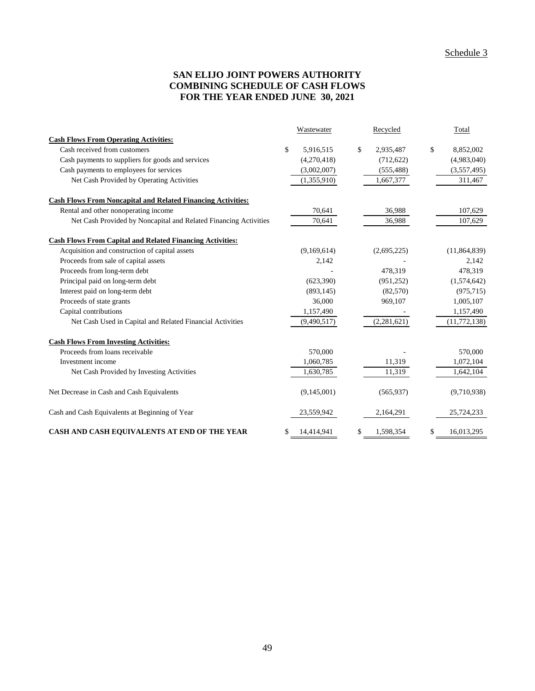# **SAN ELIJO JOINT POWERS AUTHORITY COMBINING SCHEDULE OF CASH FLOWS FOR THE YEAR ENDED JUNE 30, 2021**

|                                                                     | Wastewater       | Recycled        | Total            |
|---------------------------------------------------------------------|------------------|-----------------|------------------|
| <b>Cash Flows From Operating Activities:</b>                        |                  |                 |                  |
| Cash received from customers                                        | \$<br>5,916,515  | \$<br>2,935,487 | \$<br>8,852,002  |
| Cash payments to suppliers for goods and services                   | (4,270,418)      | (712, 622)      | (4,983,040)      |
| Cash payments to employees for services                             | (3,002,007)      | (555, 488)      | (3,557,495)      |
| Net Cash Provided by Operating Activities                           | (1,355,910)      | 1,667,377       | 311,467          |
| <b>Cash Flows From Noncapital and Related Financing Activities:</b> |                  |                 |                  |
| Rental and other nonoperating income                                | 70,641           | 36,988          | 107,629          |
| Net Cash Provided by Noncapital and Related Financing Activities    | 70,641           | 36,988          | 107,629          |
| <b>Cash Flows From Capital and Related Financing Activities:</b>    |                  |                 |                  |
| Acquisition and construction of capital assets                      | (9,169,614)      | (2,695,225)     | (11, 864, 839)   |
| Proceeds from sale of capital assets                                | 2,142            |                 | 2,142            |
| Proceeds from long-term debt                                        |                  | 478,319         | 478,319          |
| Principal paid on long-term debt                                    | (623, 390)       | (951, 252)      | (1,574,642)      |
| Interest paid on long-term debt                                     | (893, 145)       | (82,570)        | (975, 715)       |
| Proceeds of state grants                                            | 36,000           | 969,107         | 1,005,107        |
| Capital contributions                                               | 1,157,490        |                 | 1,157,490        |
| Net Cash Used in Capital and Related Financial Activities           | (9,490,517)      | (2,281,621)     | (11, 772, 138)   |
| <b>Cash Flows From Investing Activities:</b>                        |                  |                 |                  |
| Proceeds from loans receivable                                      | 570,000          |                 | 570,000          |
| Investment income                                                   | 1,060,785        | 11,319          | 1,072,104        |
| Net Cash Provided by Investing Activities                           | 1,630,785        | 11,319          | 1,642,104        |
| Net Decrease in Cash and Cash Equivalents                           | (9,145,001)      | (565, 937)      | (9,710,938)      |
| Cash and Cash Equivalents at Beginning of Year                      | 23,559,942       | 2,164,291       | 25,724,233       |
| CASH AND CASH EQUIVALENTS AT END OF THE YEAR                        | \$<br>14,414,941 | \$<br>1,598,354 | \$<br>16,013,295 |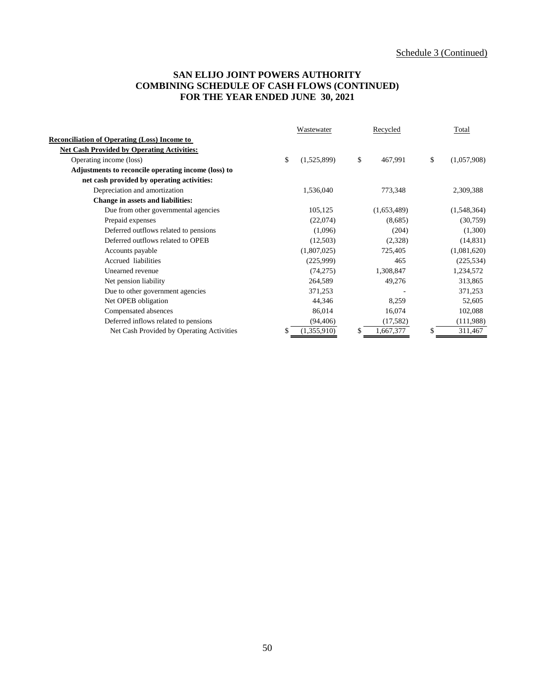# **SAN ELIJO JOINT POWERS AUTHORITY COMBINING SCHEDULE OF CASH FLOWS (CONTINUED) FOR THE YEAR ENDED JUNE 30, 2021**

|                                                     | Wastewater |             | Recycled      | Total |             |
|-----------------------------------------------------|------------|-------------|---------------|-------|-------------|
| <b>Reconciliation of Operating (Loss) Income to</b> |            |             |               |       |             |
| <b>Net Cash Provided by Operating Activities:</b>   |            |             |               |       |             |
| Operating income (loss)                             | \$         | (1,525,899) | \$<br>467,991 | \$    | (1,057,908) |
| Adjustments to reconcile operating income (loss) to |            |             |               |       |             |
| net cash provided by operating activities:          |            |             |               |       |             |
| Depreciation and amortization                       |            | 1,536,040   | 773,348       |       | 2,309,388   |
| Change in assets and liabilities:                   |            |             |               |       |             |
| Due from other governmental agencies                |            | 105,125     | (1,653,489)   |       | (1,548,364) |
| Prepaid expenses                                    |            | (22,074)    | (8,685)       |       | (30,759)    |
| Deferred outflows related to pensions               |            | (1,096)     | (204)         |       | (1,300)     |
| Deferred outflows related to OPEB                   |            | (12,503)    | (2,328)       |       | (14, 831)   |
| Accounts payable                                    |            | (1,807,025) | 725,405       |       | (1,081,620) |
| Accrued liabilities                                 |            | (225,999)   | 465           |       | (225, 534)  |
| Unearned revenue                                    |            | (74,275)    | 1,308,847     |       | 1,234,572   |
| Net pension liability                               |            | 264,589     | 49,276        |       | 313,865     |
| Due to other government agencies                    |            | 371,253     |               |       | 371,253     |
| Net OPEB obligation                                 |            | 44,346      | 8,259         |       | 52,605      |
| Compensated absences                                |            | 86,014      | 16,074        |       | 102,088     |
| Deferred inflows related to pensions                |            | (94, 406)   | (17, 582)     |       | (111,988)   |
| Net Cash Provided by Operating Activities           | \$.        | (1,355,910) | 1,667,377     | S     | 311,467     |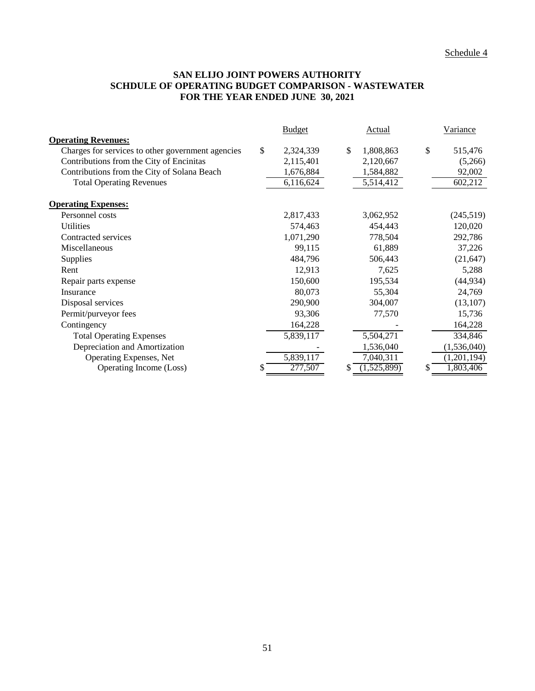# **SAN ELIJO JOINT POWERS AUTHORITY SCHDULE OF OPERATING BUDGET COMPARISON - WASTEWATER FOR THE YEAR ENDED JUNE 30, 2021**

|                                                   | <b>Budget</b> |           |    | <b>Actual</b> |    | Variance    |  |
|---------------------------------------------------|---------------|-----------|----|---------------|----|-------------|--|
| <b>Operating Revenues:</b>                        |               |           |    |               |    |             |  |
| Charges for services to other government agencies | \$            | 2,324,339 | \$ | 1,808,863     | \$ | 515,476     |  |
| Contributions from the City of Encinitas          |               | 2,115,401 |    | 2,120,667     |    | (5,266)     |  |
| Contributions from the City of Solana Beach       |               | 1,676,884 |    | 1,584,882     |    | 92,002      |  |
| <b>Total Operating Revenues</b>                   |               | 6,116,624 |    | 5,514,412     |    | 602,212     |  |
| <b>Operating Expenses:</b>                        |               |           |    |               |    |             |  |
| Personnel costs                                   |               | 2,817,433 |    | 3,062,952     |    | (245, 519)  |  |
| <b>Utilities</b>                                  |               | 574,463   |    | 454,443       |    | 120,020     |  |
| Contracted services                               |               | 1,071,290 |    | 778,504       |    | 292,786     |  |
| Miscellaneous                                     |               | 99,115    |    | 61,889        |    | 37,226      |  |
| Supplies                                          |               | 484,796   |    | 506,443       |    | (21, 647)   |  |
| Rent                                              |               | 12,913    |    | 7,625         |    | 5,288       |  |
| Repair parts expense                              |               | 150,600   |    | 195,534       |    | (44, 934)   |  |
| Insurance                                         |               | 80,073    |    | 55,304        |    | 24,769      |  |
| Disposal services                                 |               | 290,900   |    | 304,007       |    | (13, 107)   |  |
| Permit/purveyor fees                              |               | 93,306    |    | 77,570        |    | 15,736      |  |
| Contingency                                       |               | 164,228   |    |               |    | 164,228     |  |
| <b>Total Operating Expenses</b>                   |               | 5,839,117 |    | 5,504,271     |    | 334,846     |  |
| Depreciation and Amortization                     |               |           |    | 1,536,040     |    | (1,536,040) |  |
| Operating Expenses, Net                           |               | 5,839,117 |    | 7,040,311     |    | (1,201,194) |  |
| Operating Income (Loss)                           | \$            | 277,507   |    | (1,525,899)   | S  | 1,803,406   |  |